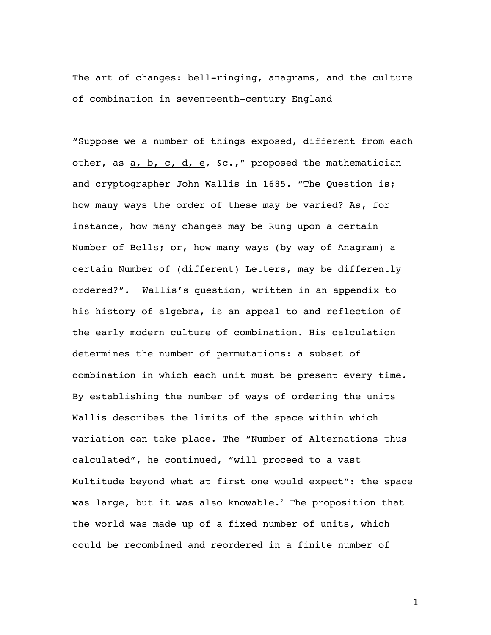The art of changes: bell-ringing, anagrams, and the culture of combination in seventeenth-century England

"Suppose we a number of things exposed, different from each other, as a, b, c, d, e*,* &c.," proposed the mathematician and cryptographer John Wallis in 1685. "The Question is; how many ways the order of these may be varied? As, for instance, how many changes may be Rung upon a certain Number of Bells; or, how many ways (by way of Anagram) a certain Number of (different) Letters, may be differently ordered?".  $\frac{1}{1}$  Wallis's question, written in an appendix to his history of algebra, is an appeal to and reflection of the early modern culture of combination. His calculation determines the number of permutations: a subset of combination in which each unit must be present every time. By establishing the number of ways of ordering the units Wallis describes the limits of the space within which variation can take place. The "Number of Alternations thus calculated", he continued, "will proceed to a vast Multitude beyond what at first one would expect": the space was large, but it was also knowable.<sup>2</sup> The proposition that the world was made up of a fixed number of units, which could be recombined and reordered in a finite number of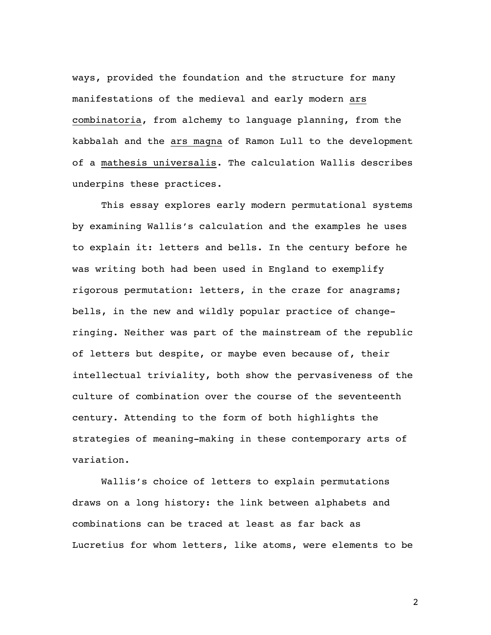ways, provided the foundation and the structure for many manifestations of the medieval and early modern ars combinatoria, from alchemy to language planning, from the kabbalah and the ars magna of Ramon Lull to the development of a mathesis universalis. The calculation Wallis describes underpins these practices.

This essay explores early modern permutational systems by examining Wallis's calculation and the examples he uses to explain it: letters and bells. In the century before he was writing both had been used in England to exemplify rigorous permutation: letters, in the craze for anagrams; bells, in the new and wildly popular practice of changeringing. Neither was part of the mainstream of the republic of letters but despite, or maybe even because of, their intellectual triviality, both show the pervasiveness of the culture of combination over the course of the seventeenth century. Attending to the form of both highlights the strategies of meaning-making in these contemporary arts of variation.

Wallis's choice of letters to explain permutations draws on a long history: the link between alphabets and combinations can be traced at least as far back as Lucretius for whom letters, like atoms, were elements to be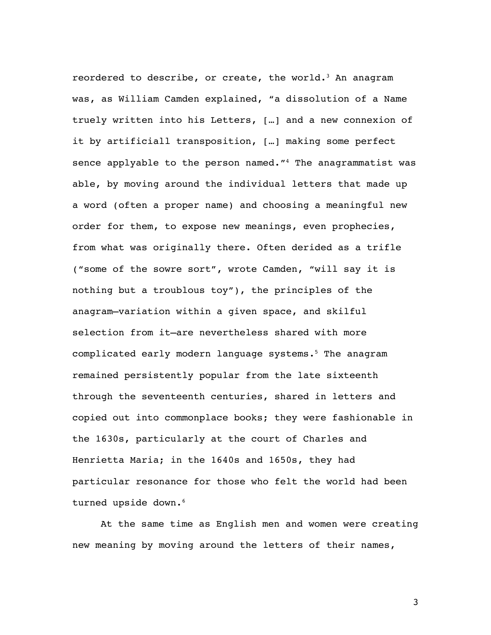reordered to describe, or create, the world.<sup>3</sup> An anagram was, as William Camden explained, "a dissolution of a Name truely written into his Letters, […] and a new connexion of it by artificiall transposition, […] making some perfect sence applyable to the person named."<sup>4</sup> The anagrammatist was able, by moving around the individual letters that made up a word (often a proper name) and choosing a meaningful new order for them, to expose new meanings, even prophecies, from what was originally there. Often derided as a trifle ("some of the sowre sort", wrote Camden, "will say it is nothing but a troublous toy"), the principles of the anagram—variation within a given space, and skilful selection from it—are nevertheless shared with more complicated early modern language systems.<sup>5</sup> The anagram remained persistently popular from the late sixteenth through the seventeenth centuries, shared in letters and copied out into commonplace books; they were fashionable in the 1630s, particularly at the court of Charles and Henrietta Maria; in the 1640s and 1650s, they had particular resonance for those who felt the world had been turned upside down.<sup>6</sup>

At the same time as English men and women were creating new meaning by moving around the letters of their names,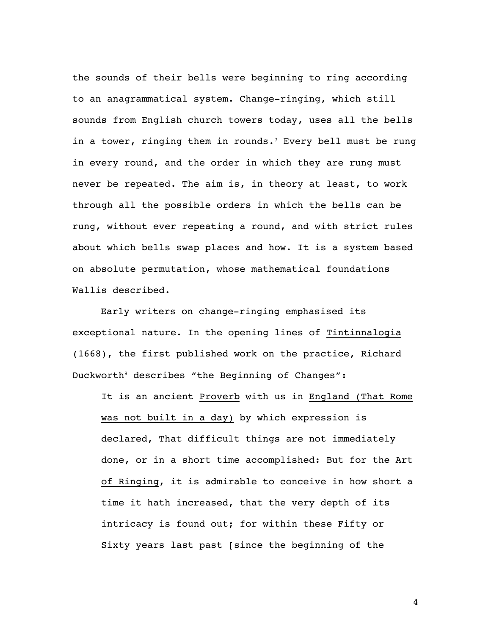the sounds of their bells were beginning to ring according to an anagrammatical system. Change-ringing, which still sounds from English church towers today, uses all the bells in a tower, ringing them in rounds.<sup>7</sup> Every bell must be rung in every round, and the order in which they are rung must never be repeated. The aim is, in theory at least, to work through all the possible orders in which the bells can be rung, without ever repeating a round, and with strict rules about which bells swap places and how. It is a system based on absolute permutation, whose mathematical foundations Wallis described.

Early writers on change-ringing emphasised its exceptional nature. In the opening lines of Tintinnalogia (1668), the first published work on the practice, Richard Duckworth<sup>8</sup> describes "the Beginning of Changes":

It is an ancient Proverb with us in England (That Rome was not built in a day) by which expression is declared, That difficult things are not immediately done, or in a short time accomplished: But for the Art of Ringing, it is admirable to conceive in how short a time it hath increased, that the very depth of its intricacy is found out; for within these Fifty or Sixty years last past [since the beginning of the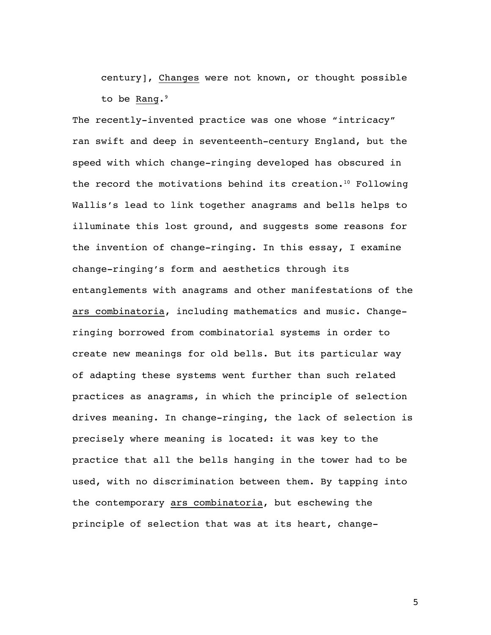century], Changes were not known, or thought possible to be Rang.<sup>9</sup>

The recently-invented practice was one whose "intricacy" ran swift and deep in seventeenth-century England, but the speed with which change-ringing developed has obscured in the record the motivations behind its creation.10 Following Wallis's lead to link together anagrams and bells helps to illuminate this lost ground, and suggests some reasons for the invention of change-ringing. In this essay, I examine change-ringing's form and aesthetics through its entanglements with anagrams and other manifestations of the ars combinatoria, including mathematics and music. Changeringing borrowed from combinatorial systems in order to create new meanings for old bells. But its particular way of adapting these systems went further than such related practices as anagrams, in which the principle of selection drives meaning. In change-ringing, the lack of selection is precisely where meaning is located: it was key to the practice that all the bells hanging in the tower had to be used, with no discrimination between them. By tapping into the contemporary ars combinatoria, but eschewing the principle of selection that was at its heart, change-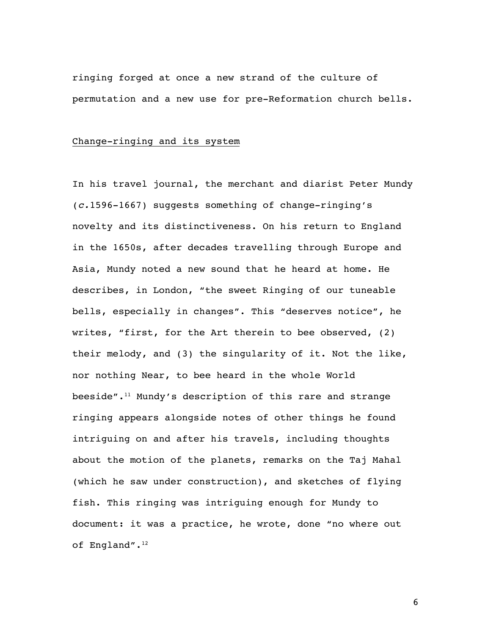ringing forged at once a new strand of the culture of permutation and a new use for pre-Reformation church bells.

## Change-ringing and its system

In his travel journal, the merchant and diarist Peter Mundy (*c.*1596-1667) suggests something of change-ringing's novelty and its distinctiveness. On his return to England in the 1650s, after decades travelling through Europe and Asia, Mundy noted a new sound that he heard at home. He describes, in London, "the sweet Ringing of our tuneable bells, especially in changes". This "deserves notice", he writes, "first, for the Art therein to bee observed, (2) their melody, and (3) the singularity of it. Not the like, nor nothing Near, to bee heard in the whole World beeside".11 Mundy's description of this rare and strange ringing appears alongside notes of other things he found intriguing on and after his travels, including thoughts about the motion of the planets, remarks on the Taj Mahal (which he saw under construction), and sketches of flying fish. This ringing was intriguing enough for Mundy to document: it was a practice, he wrote, done "no where out of England".<sup>12</sup>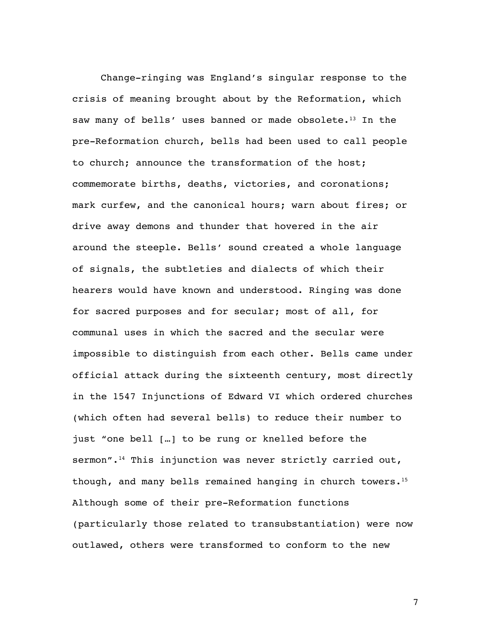Change-ringing was England's singular response to the crisis of meaning brought about by the Reformation, which saw many of bells' uses banned or made obsolete.<sup>13</sup> In the pre-Reformation church, bells had been used to call people to church; announce the transformation of the host; commemorate births, deaths, victories, and coronations; mark curfew, and the canonical hours; warn about fires; or drive away demons and thunder that hovered in the air around the steeple. Bells' sound created a whole language of signals, the subtleties and dialects of which their hearers would have known and understood. Ringing was done for sacred purposes and for secular; most of all, for communal uses in which the sacred and the secular were impossible to distinguish from each other. Bells came under official attack during the sixteenth century, most directly in the 1547 Injunctions of Edward VI which ordered churches (which often had several bells) to reduce their number to just "one bell […] to be rung or knelled before the sermon".<sup>14</sup> This injunction was never strictly carried out, though, and many bells remained hanging in church towers.15 Although some of their pre-Reformation functions (particularly those related to transubstantiation) were now outlawed, others were transformed to conform to the new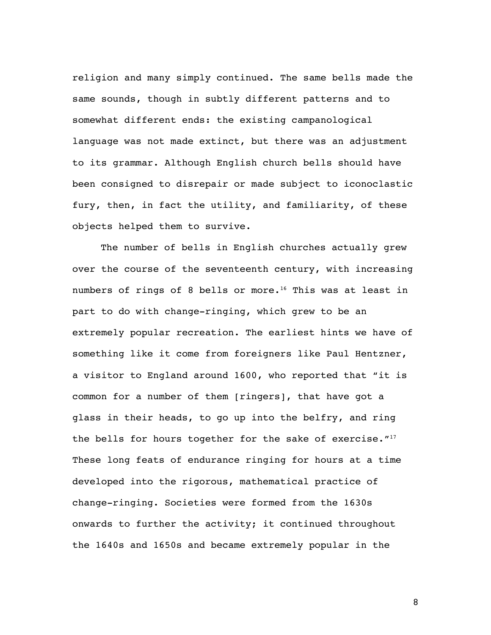religion and many simply continued. The same bells made the same sounds, though in subtly different patterns and to somewhat different ends: the existing campanological language was not made extinct, but there was an adjustment to its grammar. Although English church bells should have been consigned to disrepair or made subject to iconoclastic fury, then, in fact the utility, and familiarity, of these objects helped them to survive.

The number of bells in English churches actually grew over the course of the seventeenth century, with increasing numbers of rings of 8 bells or more.<sup>16</sup> This was at least in part to do with change-ringing, which grew to be an extremely popular recreation. The earliest hints we have of something like it come from foreigners like Paul Hentzner, a visitor to England around 1600, who reported that "it is common for a number of them [ringers], that have got a glass in their heads, to go up into the belfry, and ring the bells for hours together for the sake of exercise."<sup>17</sup> These long feats of endurance ringing for hours at a time developed into the rigorous, mathematical practice of change-ringing. Societies were formed from the 1630s onwards to further the activity; it continued throughout the 1640s and 1650s and became extremely popular in the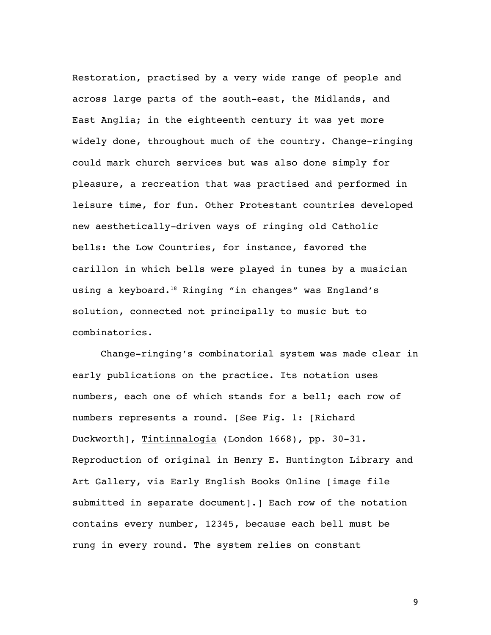Restoration, practised by a very wide range of people and across large parts of the south-east, the Midlands, and East Anglia; in the eighteenth century it was yet more widely done, throughout much of the country. Change-ringing could mark church services but was also done simply for pleasure, a recreation that was practised and performed in leisure time, for fun. Other Protestant countries developed new aesthetically-driven ways of ringing old Catholic bells: the Low Countries, for instance, favored the carillon in which bells were played in tunes by a musician using a keyboard.<sup>18</sup> Ringing "in changes" was England's solution, connected not principally to music but to combinatorics.

Change-ringing's combinatorial system was made clear in early publications on the practice. Its notation uses numbers, each one of which stands for a bell; each row of numbers represents a round. [See Fig. 1: [Richard Duckworth], Tintinnalogia (London 1668), pp. 30-31. Reproduction of original in Henry E. Huntington Library and Art Gallery, via Early English Books Online [image file submitted in separate document].] Each row of the notation contains every number, 12345, because each bell must be rung in every round. The system relies on constant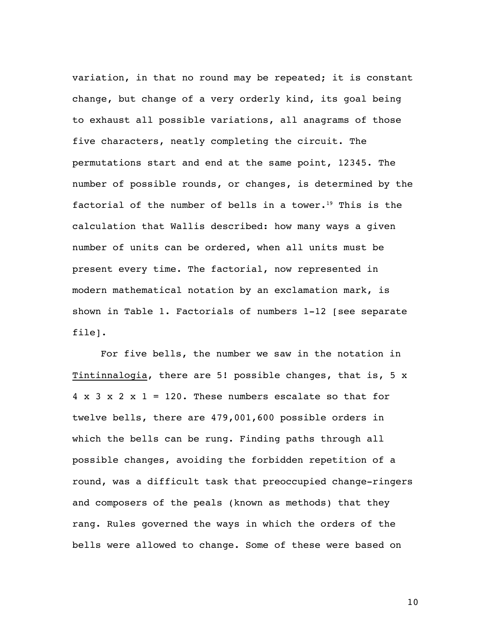variation, in that no round may be repeated; it is constant change, but change of a very orderly kind, its goal being to exhaust all possible variations, all anagrams of those five characters, neatly completing the circuit. The permutations start and end at the same point, 12345. The number of possible rounds, or changes, is determined by the factorial of the number of bells in a tower.<sup>19</sup> This is the calculation that Wallis described: how many ways a given number of units can be ordered, when all units must be present every time. The factorial, now represented in modern mathematical notation by an exclamation mark, is shown in Table 1. Factorials of numbers 1-12 [see separate file].

For five bells, the number we saw in the notation in Tintinnalogia, there are 5! possible changes, that is, 5 x  $4 \times 3 \times 2 \times 1 = 120$ . These numbers escalate so that for twelve bells, there are 479,001,600 possible orders in which the bells can be rung. Finding paths through all possible changes, avoiding the forbidden repetition of a round, was a difficult task that preoccupied change-ringers and composers of the peals (known as methods) that they rang. Rules governed the ways in which the orders of the bells were allowed to change. Some of these were based on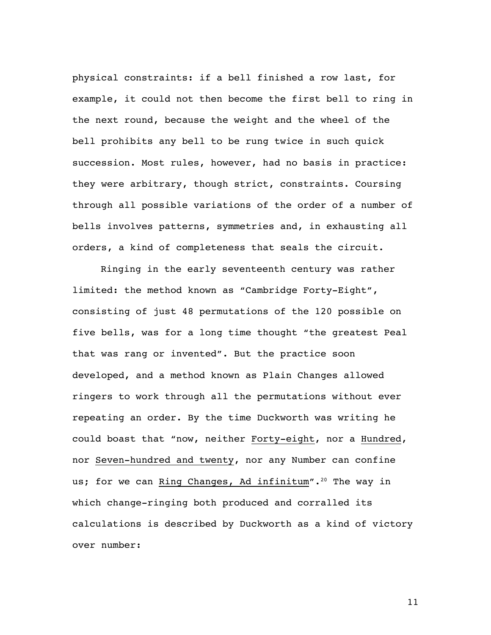physical constraints: if a bell finished a row last, for example, it could not then become the first bell to ring in the next round, because the weight and the wheel of the bell prohibits any bell to be rung twice in such quick succession. Most rules, however, had no basis in practice: they were arbitrary, though strict, constraints. Coursing through all possible variations of the order of a number of bells involves patterns, symmetries and, in exhausting all orders, a kind of completeness that seals the circuit.

Ringing in the early seventeenth century was rather limited: the method known as "Cambridge Forty-Eight", consisting of just 48 permutations of the 120 possible on five bells, was for a long time thought "the greatest Peal that was rang or invented". But the practice soon developed, and a method known as Plain Changes allowed ringers to work through all the permutations without ever repeating an order. By the time Duckworth was writing he could boast that "now, neither Forty-eight, nor a Hundred, nor Seven-hundred and twenty, nor any Number can confine us; for we can Ring Changes, Ad infinitum".<sup>20</sup> The way in which change-ringing both produced and corralled its calculations is described by Duckworth as a kind of victory over number: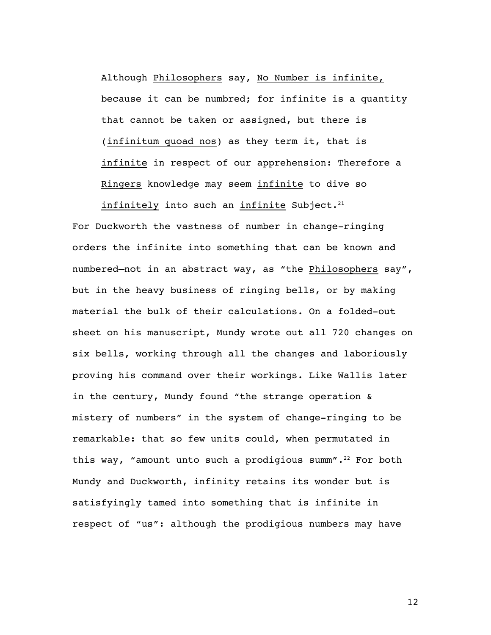Although Philosophers say, No Number is infinite, because it can be numbred; for infinite is a quantity that cannot be taken or assigned, but there is (infinitum quoad nos) as they term it, that is infinite in respect of our apprehension: Therefore a Ringers knowledge may seem infinite to dive so

infinitely into such an infinite Subject. $21$ 

For Duckworth the vastness of number in change-ringing orders the infinite into something that can be known and numbered—not in an abstract way, as "the Philosophers say", but in the heavy business of ringing bells, or by making material the bulk of their calculations. On a folded-out sheet on his manuscript, Mundy wrote out all 720 changes on six bells, working through all the changes and laboriously proving his command over their workings. Like Wallis later in the century, Mundy found "the strange operation & mistery of numbers" in the system of change-ringing to be remarkable: that so few units could, when permutated in this way, "amount unto such a prodigious summ".<sup>22</sup> For both Mundy and Duckworth, infinity retains its wonder but is satisfyingly tamed into something that is infinite in respect of "us": although the prodigious numbers may have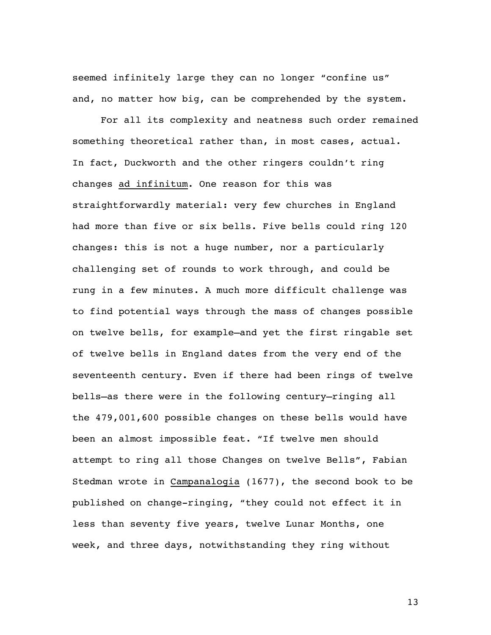seemed infinitely large they can no longer "confine us" and, no matter how big, can be comprehended by the system.

For all its complexity and neatness such order remained something theoretical rather than, in most cases, actual. In fact, Duckworth and the other ringers couldn't ring changes ad infinitum. One reason for this was straightforwardly material: very few churches in England had more than five or six bells. Five bells could ring 120 changes: this is not a huge number, nor a particularly challenging set of rounds to work through, and could be rung in a few minutes. A much more difficult challenge was to find potential ways through the mass of changes possible on twelve bells, for example—and yet the first ringable set of twelve bells in England dates from the very end of the seventeenth century. Even if there had been rings of twelve bells—as there were in the following century—ringing all the 479,001,600 possible changes on these bells would have been an almost impossible feat. "If twelve men should attempt to ring all those Changes on twelve Bells", Fabian Stedman wrote in Campanalogia (1677), the second book to be published on change-ringing, "they could not effect it in less than seventy five years, twelve Lunar Months, one week, and three days, notwithstanding they ring without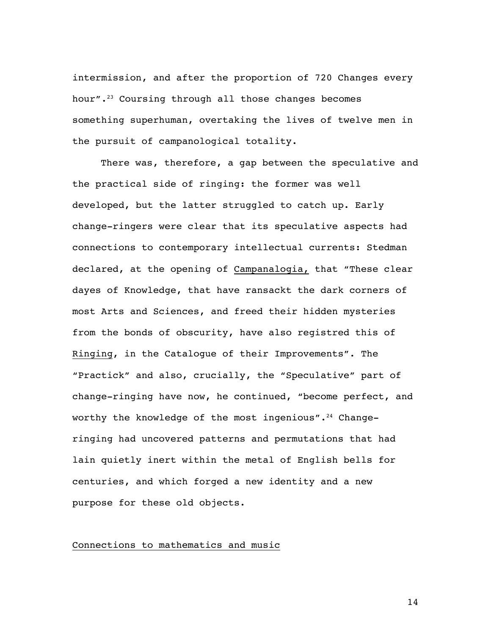intermission, and after the proportion of 720 Changes every hour".23 Coursing through all those changes becomes something superhuman, overtaking the lives of twelve men in the pursuit of campanological totality.

There was, therefore, a gap between the speculative and the practical side of ringing: the former was well developed, but the latter struggled to catch up. Early change-ringers were clear that its speculative aspects had connections to contemporary intellectual currents: Stedman declared, at the opening of Campanalogia, that "These clear dayes of Knowledge, that have ransackt the dark corners of most Arts and Sciences, and freed their hidden mysteries from the bonds of obscurity, have also registred this of Ringing, in the Catalogue of their Improvements". The "Practick" and also, crucially, the "Speculative" part of change-ringing have now, he continued, "become perfect, and worthy the knowledge of the most ingenious".<sup>24</sup> Changeringing had uncovered patterns and permutations that had lain quietly inert within the metal of English bells for centuries, and which forged a new identity and a new purpose for these old objects.

## Connections to mathematics and music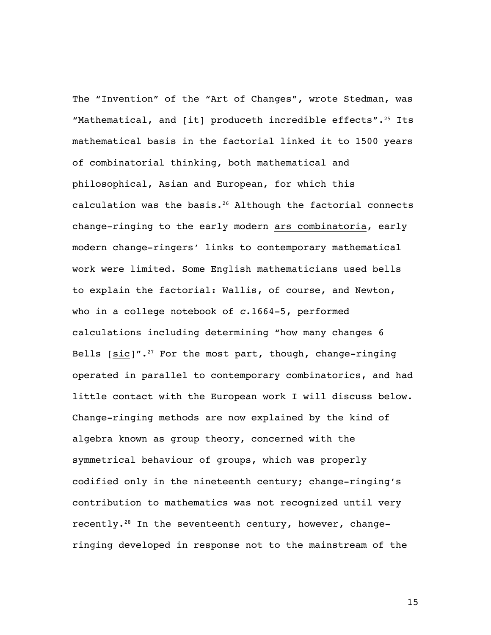The "Invention" of the "Art of Changes", wrote Stedman, was "Mathematical, and  $\lceil$  it] produceth incredible effects".<sup>25</sup> Its mathematical basis in the factorial linked it to 1500 years of combinatorial thinking, both mathematical and philosophical, Asian and European, for which this calculation was the basis. $26$  Although the factorial connects change-ringing to the early modern ars combinatoria, early modern change-ringers' links to contemporary mathematical work were limited. Some English mathematicians used bells to explain the factorial: Wallis, of course, and Newton, who in a college notebook of *c*.1664-5, performed calculations including determining "how many changes 6 Bells  $[sic]''$ .<sup>27</sup> For the most part, though, change-ringing operated in parallel to contemporary combinatorics, and had little contact with the European work I will discuss below. Change-ringing methods are now explained by the kind of algebra known as group theory, concerned with the symmetrical behaviour of groups, which was properly codified only in the nineteenth century; change-ringing's contribution to mathematics was not recognized until very recently.28 In the seventeenth century, however, changeringing developed in response not to the mainstream of the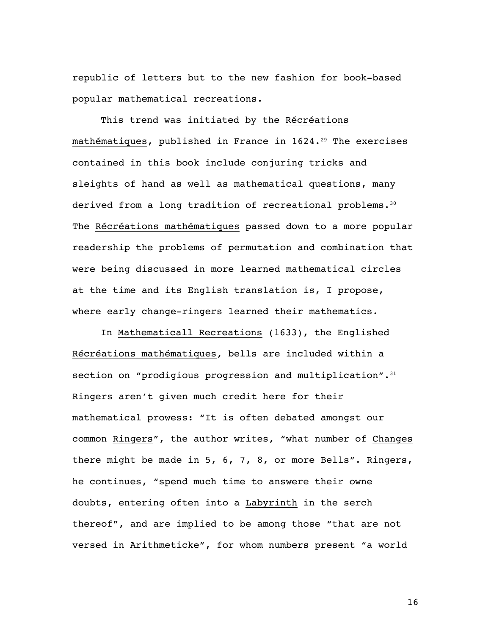republic of letters but to the new fashion for book-based popular mathematical recreations.

This trend was initiated by the Récréations mathématiques, published in France in 1624.<sup>29</sup> The exercises contained in this book include conjuring tricks and sleights of hand as well as mathematical questions, many derived from a long tradition of recreational problems.<sup>30</sup> The Récréations mathématiques passed down to a more popular readership the problems of permutation and combination that were being discussed in more learned mathematical circles at the time and its English translation is, I propose, where early change-ringers learned their mathematics.

In Mathematicall Recreations (1633), the Englished Récréations mathématiques, bells are included within a section on "prodigious progression and multiplication". $31$ Ringers aren't given much credit here for their mathematical prowess: "It is often debated amongst our common Ringers", the author writes, "what number of Changes there might be made in 5, 6, 7, 8, or more Bells". Ringers, he continues, "spend much time to answere their owne doubts, entering often into a Labyrinth in the serch thereof", and are implied to be among those "that are not versed in Arithmeticke", for whom numbers present "a world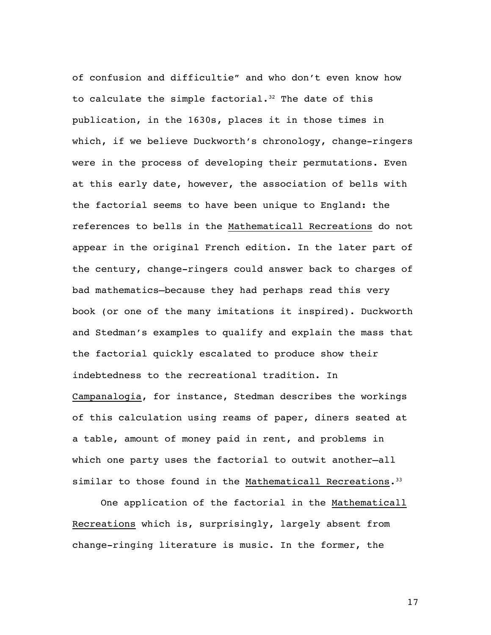of confusion and difficultie" and who don't even know how to calculate the simple factorial.<sup>32</sup> The date of this publication, in the 1630s, places it in those times in which, if we believe Duckworth's chronology, change-ringers were in the process of developing their permutations. Even at this early date, however, the association of bells with the factorial seems to have been unique to England: the references to bells in the Mathematicall Recreations do not appear in the original French edition. In the later part of the century, change-ringers could answer back to charges of bad mathematics—because they had perhaps read this very book (or one of the many imitations it inspired). Duckworth and Stedman's examples to qualify and explain the mass that the factorial quickly escalated to produce show their indebtedness to the recreational tradition. In Campanalogia, for instance, Stedman describes the workings of this calculation using reams of paper, diners seated at a table, amount of money paid in rent, and problems in which one party uses the factorial to outwit another—all similar to those found in the Mathematicall Recreations.<sup>33</sup>

One application of the factorial in the Mathematicall Recreations which is, surprisingly, largely absent from change-ringing literature is music. In the former, the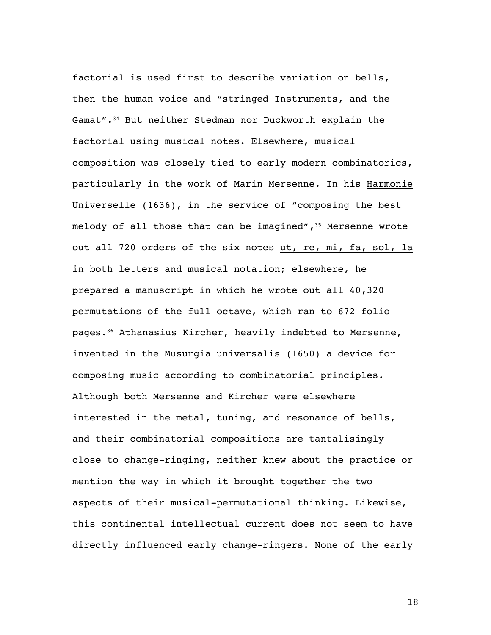factorial is used first to describe variation on bells, then the human voice and "stringed Instruments, and the Gamat".34 But neither Stedman nor Duckworth explain the factorial using musical notes. Elsewhere, musical composition was closely tied to early modern combinatorics, particularly in the work of Marin Mersenne. In his Harmonie Universelle (1636), in the service of "composing the best melody of all those that can be imagined",  $35$  Mersenne wrote out all 720 orders of the six notes ut, re, mi, fa, sol, la in both letters and musical notation; elsewhere, he prepared a manuscript in which he wrote out all 40,320 permutations of the full octave, which ran to 672 folio pages.36 Athanasius Kircher, heavily indebted to Mersenne, invented in the Musurgia universalis (1650) a device for composing music according to combinatorial principles. Although both Mersenne and Kircher were elsewhere interested in the metal, tuning, and resonance of bells, and their combinatorial compositions are tantalisingly close to change-ringing, neither knew about the practice or mention the way in which it brought together the two aspects of their musical-permutational thinking. Likewise, this continental intellectual current does not seem to have directly influenced early change-ringers. None of the early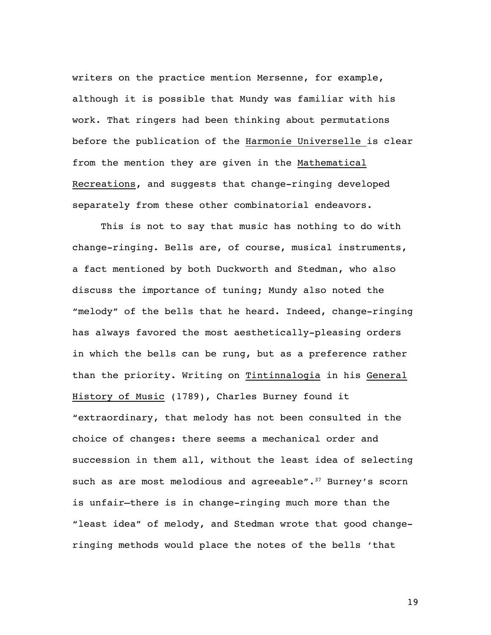writers on the practice mention Mersenne, for example, although it is possible that Mundy was familiar with his work. That ringers had been thinking about permutations before the publication of the Harmonie Universelle is clear from the mention they are given in the Mathematical Recreations, and suggests that change-ringing developed separately from these other combinatorial endeavors.

This is not to say that music has nothing to do with change-ringing. Bells are, of course, musical instruments, a fact mentioned by both Duckworth and Stedman, who also discuss the importance of tuning; Mundy also noted the "melody" of the bells that he heard. Indeed, change-ringing has always favored the most aesthetically-pleasing orders in which the bells can be rung, but as a preference rather than the priority. Writing on Tintinnalogia in his General History of Music (1789), Charles Burney found it "extraordinary, that melody has not been consulted in the choice of changes: there seems a mechanical order and succession in them all, without the least idea of selecting such as are most melodious and agreeable". $37$  Burney's scorn is unfair—there is in change-ringing much more than the "least idea" of melody, and Stedman wrote that good changeringing methods would place the notes of the bells 'that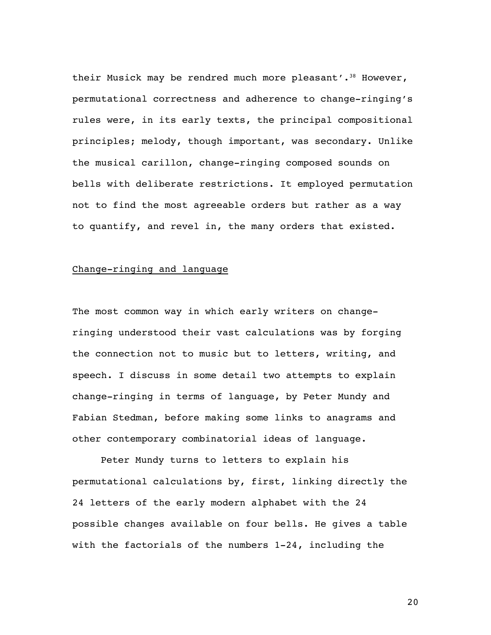their Musick may be rendred much more pleasant'.<sup>38</sup> However, permutational correctness and adherence to change-ringing's rules were, in its early texts, the principal compositional principles; melody, though important, was secondary. Unlike the musical carillon, change-ringing composed sounds on bells with deliberate restrictions. It employed permutation not to find the most agreeable orders but rather as a way to quantify, and revel in, the many orders that existed.

## Change-ringing and language

The most common way in which early writers on changeringing understood their vast calculations was by forging the connection not to music but to letters, writing, and speech. I discuss in some detail two attempts to explain change-ringing in terms of language, by Peter Mundy and Fabian Stedman, before making some links to anagrams and other contemporary combinatorial ideas of language.

Peter Mundy turns to letters to explain his permutational calculations by, first, linking directly the 24 letters of the early modern alphabet with the 24 possible changes available on four bells. He gives a table with the factorials of the numbers 1-24, including the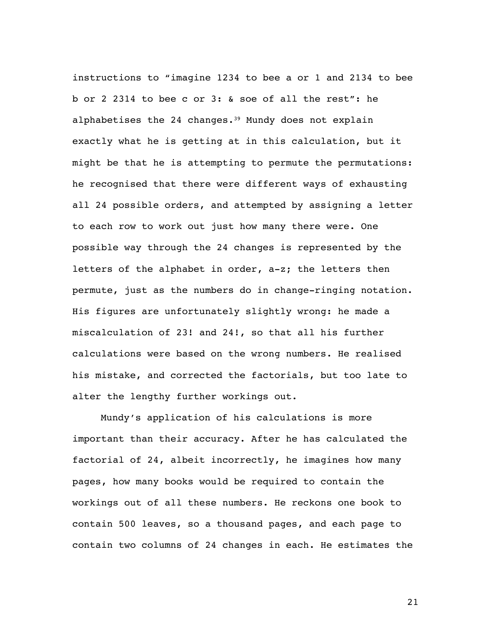instructions to "imagine 1234 to bee a or 1 and 2134 to bee b or 2 2314 to bee c or 3: & soe of all the rest": he alphabetises the 24 changes.<sup>39</sup> Mundy does not explain exactly what he is getting at in this calculation, but it might be that he is attempting to permute the permutations: he recognised that there were different ways of exhausting all 24 possible orders, and attempted by assigning a letter to each row to work out just how many there were. One possible way through the 24 changes is represented by the letters of the alphabet in order, a-z; the letters then permute, just as the numbers do in change-ringing notation. His figures are unfortunately slightly wrong: he made a miscalculation of 23! and 24!, so that all his further calculations were based on the wrong numbers. He realised his mistake, and corrected the factorials, but too late to alter the lengthy further workings out.

Mundy's application of his calculations is more important than their accuracy. After he has calculated the factorial of 24, albeit incorrectly, he imagines how many pages, how many books would be required to contain the workings out of all these numbers. He reckons one book to contain 500 leaves, so a thousand pages, and each page to contain two columns of 24 changes in each. He estimates the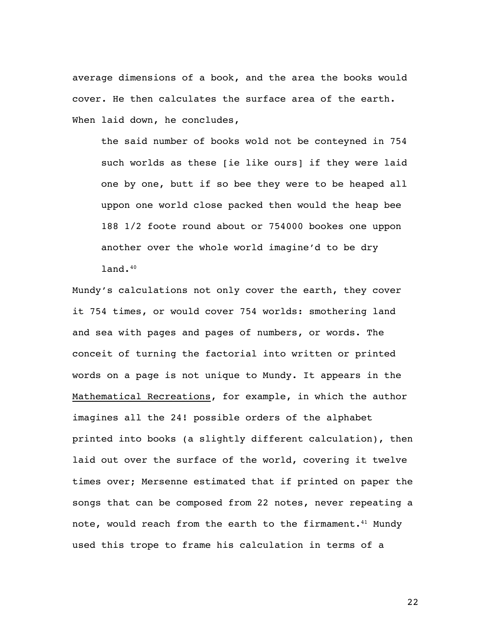average dimensions of a book, and the area the books would cover. He then calculates the surface area of the earth. When laid down, he concludes,

the said number of books wold not be conteyned in 754 such worlds as these [ie like ours] if they were laid one by one, butt if so bee they were to be heaped all uppon one world close packed then would the heap bee 188 1/2 foote round about or 754000 bookes one uppon another over the whole world imagine'd to be dry land.40

Mundy's calculations not only cover the earth, they cover it 754 times, or would cover 754 worlds: smothering land and sea with pages and pages of numbers, or words. The conceit of turning the factorial into written or printed words on a page is not unique to Mundy. It appears in the Mathematical Recreations, for example, in which the author imagines all the 24! possible orders of the alphabet printed into books (a slightly different calculation), then laid out over the surface of the world, covering it twelve times over; Mersenne estimated that if printed on paper the songs that can be composed from 22 notes, never repeating a note, would reach from the earth to the firmament.<sup>41</sup> Mundy used this trope to frame his calculation in terms of a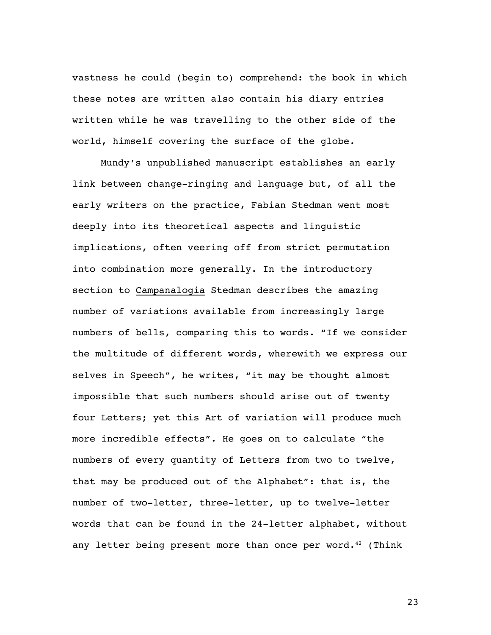vastness he could (begin to) comprehend: the book in which these notes are written also contain his diary entries written while he was travelling to the other side of the world, himself covering the surface of the globe.

Mundy's unpublished manuscript establishes an early link between change-ringing and language but, of all the early writers on the practice, Fabian Stedman went most deeply into its theoretical aspects and linguistic implications, often veering off from strict permutation into combination more generally. In the introductory section to Campanalogia Stedman describes the amazing number of variations available from increasingly large numbers of bells, comparing this to words. "If we consider the multitude of different words, wherewith we express our selves in Speech", he writes, "it may be thought almost impossible that such numbers should arise out of twenty four Letters; yet this Art of variation will produce much more incredible effects". He goes on to calculate "the numbers of every quantity of Letters from two to twelve, that may be produced out of the Alphabet": that is, the number of two-letter, three-letter, up to twelve-letter words that can be found in the 24-letter alphabet, without any letter being present more than once per word. $42$  (Think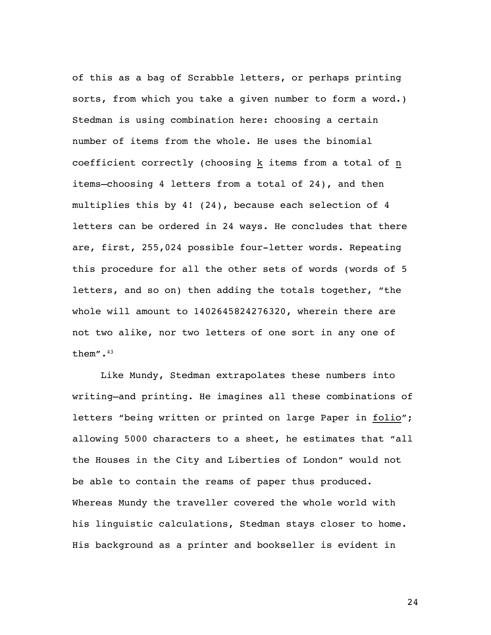of this as a bag of Scrabble letters, or perhaps printing sorts, from which you take a given number to form a word.) Stedman is using combination here: choosing a certain number of items from the whole. He uses the binomial coefficient correctly (choosing k items from a total of n items—choosing 4 letters from a total of 24), and then multiplies this by 4! (24), because each selection of 4 letters can be ordered in 24 ways. He concludes that there are, first, 255,024 possible four-letter words. Repeating this procedure for all the other sets of words (words of 5 letters, and so on) then adding the totals together, "the whole will amount to 1402645824276320, wherein there are not two alike, nor two letters of one sort in any one of them".43

Like Mundy, Stedman extrapolates these numbers into writing—and printing. He imagines all these combinations of letters "being written or printed on large Paper in folio"; allowing 5000 characters to a sheet, he estimates that "all the Houses in the City and Liberties of London" would not be able to contain the reams of paper thus produced. Whereas Mundy the traveller covered the whole world with his linguistic calculations, Stedman stays closer to home. His background as a printer and bookseller is evident in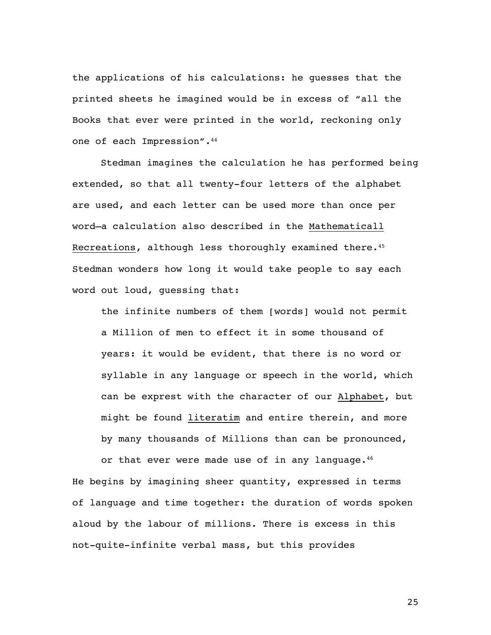the applications of his calculations: he guesses that the printed sheets he imagined would be in excess of "all the Books that ever were printed in the world, reckoning only one of each Impression".<sup>44</sup>

Stedman imagines the calculation he has performed being extended, so that all twenty-four letters of the alphabet are used, and each letter can be used more than once per word—a calculation also described in the Mathematicall Recreations, although less thoroughly examined there.<sup>45</sup> Stedman wonders how long it would take people to say each word out loud, guessing that:

the infinite numbers of them [words] would not permit a Million of men to effect it in some thousand of years: it would be evident, that there is no word or syllable in any language or speech in the world, which can be exprest with the character of our Alphabet, but might be found literatim and entire therein, and more by many thousands of Millions than can be pronounced,

or that ever were made use of in any language.<sup>46</sup> He begins by imagining sheer quantity, expressed in terms of language and time together: the duration of words spoken aloud by the labour of millions. There is excess in this not-quite-infinite verbal mass, but this provides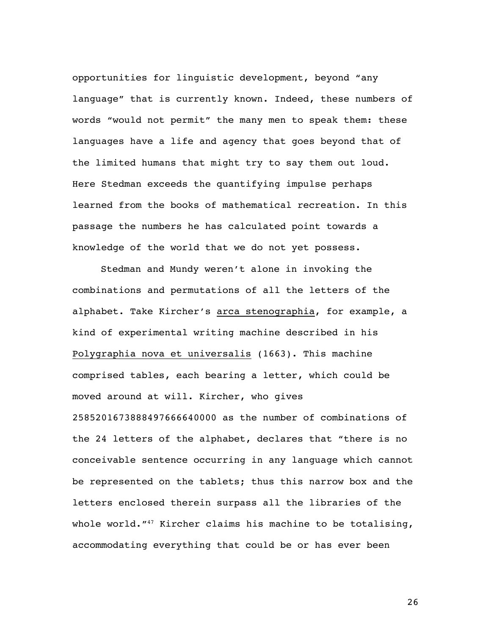opportunities for linguistic development, beyond "any language" that is currently known. Indeed, these numbers of words "would not permit" the many men to speak them: these languages have a life and agency that goes beyond that of the limited humans that might try to say them out loud. Here Stedman exceeds the quantifying impulse perhaps learned from the books of mathematical recreation. In this passage the numbers he has calculated point towards a knowledge of the world that we do not yet possess.

Stedman and Mundy weren't alone in invoking the combinations and permutations of all the letters of the alphabet. Take Kircher's arca stenographia, for example, a kind of experimental writing machine described in his Polygraphia nova et universalis (1663). This machine comprised tables, each bearing a letter, which could be moved around at will. Kircher, who gives 2585201673888497666640000 as the number of combinations of the 24 letters of the alphabet, declares that "there is no conceivable sentence occurring in any language which cannot be represented on the tablets; thus this narrow box and the letters enclosed therein surpass all the libraries of the whole world."<sup>47</sup> Kircher claims his machine to be totalising, accommodating everything that could be or has ever been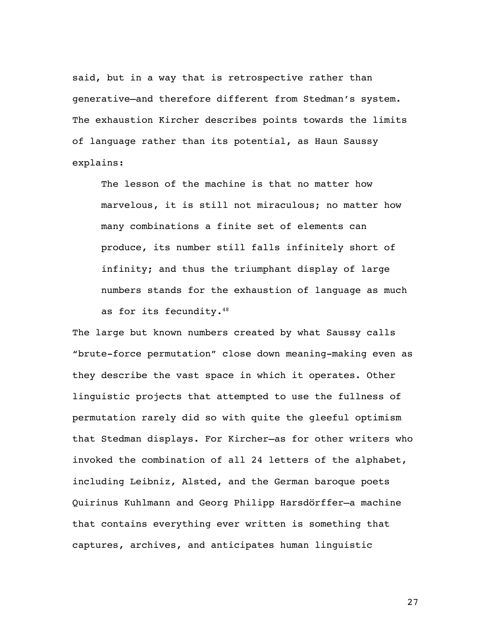said, but in a way that is retrospective rather than generative—and therefore different from Stedman's system. The exhaustion Kircher describes points towards the limits of language rather than its potential, as Haun Saussy explains:

The lesson of the machine is that no matter how marvelous, it is still not miraculous; no matter how many combinations a finite set of elements can produce, its number still falls infinitely short of infinity; and thus the triumphant display of large numbers stands for the exhaustion of language as much as for its fecundity.48

The large but known numbers created by what Saussy calls "brute-force permutation" close down meaning-making even as they describe the vast space in which it operates. Other linguistic projects that attempted to use the fullness of permutation rarely did so with quite the gleeful optimism that Stedman displays. For Kircher—as for other writers who invoked the combination of all 24 letters of the alphabet, including Leibniz, Alsted, and the German baroque poets Quirinus Kuhlmann and Georg Philipp Harsdörffer—a machine that contains everything ever written is something that captures, archives, and anticipates human linguistic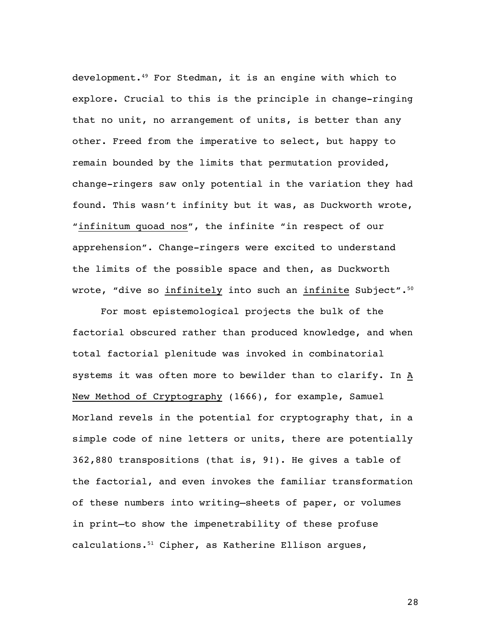development.49 For Stedman, it is an engine with which to explore. Crucial to this is the principle in change-ringing that no unit, no arrangement of units, is better than any other. Freed from the imperative to select, but happy to remain bounded by the limits that permutation provided, change-ringers saw only potential in the variation they had found. This wasn't infinity but it was, as Duckworth wrote, "infinitum quoad nos", the infinite "in respect of our apprehension". Change-ringers were excited to understand the limits of the possible space and then, as Duckworth wrote, "dive so infinitely into such an infinite Subject".<sup>50</sup>

For most epistemological projects the bulk of the factorial obscured rather than produced knowledge, and when total factorial plenitude was invoked in combinatorial systems it was often more to bewilder than to clarify. In A New Method of Cryptography (1666), for example, Samuel Morland revels in the potential for cryptography that, in a simple code of nine letters or units, there are potentially 362,880 transpositions (that is, 9!). He gives a table of the factorial, and even invokes the familiar transformation of these numbers into writing—sheets of paper, or volumes in print—to show the impenetrability of these profuse calculations.51 Cipher, as Katherine Ellison argues,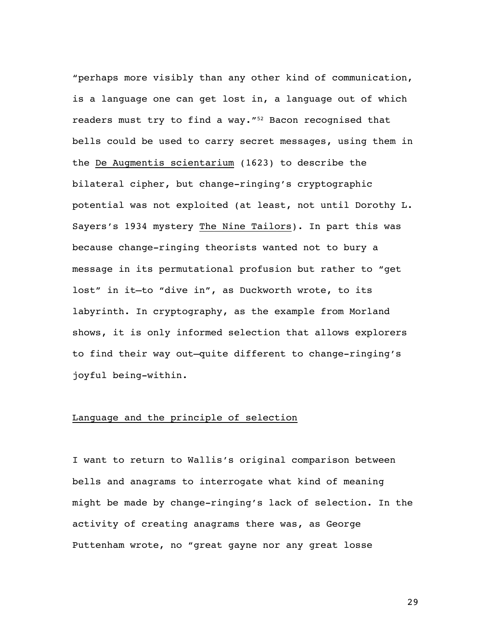"perhaps more visibly than any other kind of communication, is a language one can get lost in, a language out of which readers must try to find a way."<sup>52</sup> Bacon recognised that bells could be used to carry secret messages, using them in the De Augmentis scientarium (1623) to describe the bilateral cipher, but change-ringing's cryptographic potential was not exploited (at least, not until Dorothy L. Sayers's 1934 mystery The Nine Tailors). In part this was because change-ringing theorists wanted not to bury a message in its permutational profusion but rather to "get lost" in it—to "dive in", as Duckworth wrote, to its labyrinth. In cryptography, as the example from Morland shows, it is only informed selection that allows explorers to find their way out—quite different to change-ringing's joyful being-within.

#### Language and the principle of selection

I want to return to Wallis's original comparison between bells and anagrams to interrogate what kind of meaning might be made by change-ringing's lack of selection. In the activity of creating anagrams there was, as George Puttenham wrote, no "great gayne nor any great losse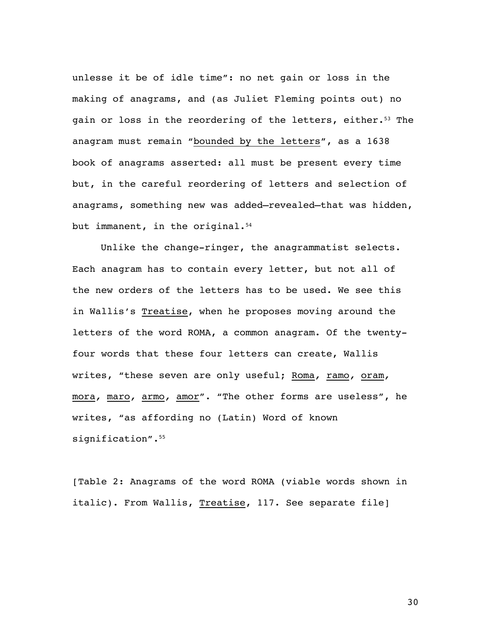unlesse it be of idle time": no net gain or loss in the making of anagrams, and (as Juliet Fleming points out) no gain or loss in the reordering of the letters, either.<sup>53</sup> The anagram must remain "bounded by the letters", as a 1638 book of anagrams asserted: all must be present every time but, in the careful reordering of letters and selection of anagrams, something new was added—revealed—that was hidden, but immanent, in the original.<sup>54</sup>

Unlike the change-ringer, the anagrammatist selects. Each anagram has to contain every letter, but not all of the new orders of the letters has to be used. We see this in Wallis's Treatise, when he proposes moving around the letters of the word ROMA, a common anagram. Of the twentyfour words that these four letters can create, Wallis writes, "these seven are only useful; Roma*,* ramo*,* oram*,*  mora*,* maro*,* armo*,* amor". "The other forms are useless", he writes, "as affording no (Latin) Word of known signification".<sup>55</sup>

[Table 2: Anagrams of the word ROMA (viable words shown in italic). From Wallis, Treatise, 117. See separate file]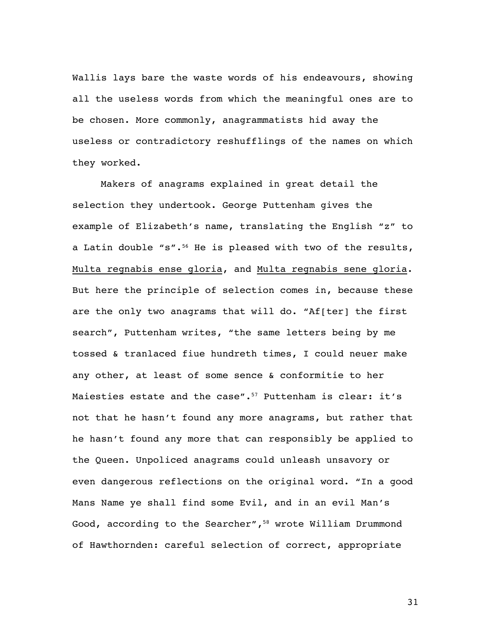Wallis lays bare the waste words of his endeavours, showing all the useless words from which the meaningful ones are to be chosen. More commonly, anagrammatists hid away the useless or contradictory reshufflings of the names on which they worked.

Makers of anagrams explained in great detail the selection they undertook. George Puttenham gives the example of Elizabeth's name, translating the English "z" to a Latin double "s".<sup>56</sup> He is pleased with two of the results, Multa regnabis ense gloria, and Multa regnabis sene gloria. But here the principle of selection comes in, because these are the only two anagrams that will do. "Af[ter] the first search", Puttenham writes, "the same letters being by me tossed & tranlaced fiue hundreth times, I could neuer make any other, at least of some sence & conformitie to her Maiesties estate and the case".<sup>57</sup> Puttenham is clear: it's not that he hasn't found any more anagrams, but rather that he hasn't found any more that can responsibly be applied to the Queen. Unpoliced anagrams could unleash unsavory or even dangerous reflections on the original word. "In a good Mans Name ye shall find some Evil, and in an evil Man's Good, according to the Searcher",<sup>58</sup> wrote William Drummond of Hawthornden: careful selection of correct, appropriate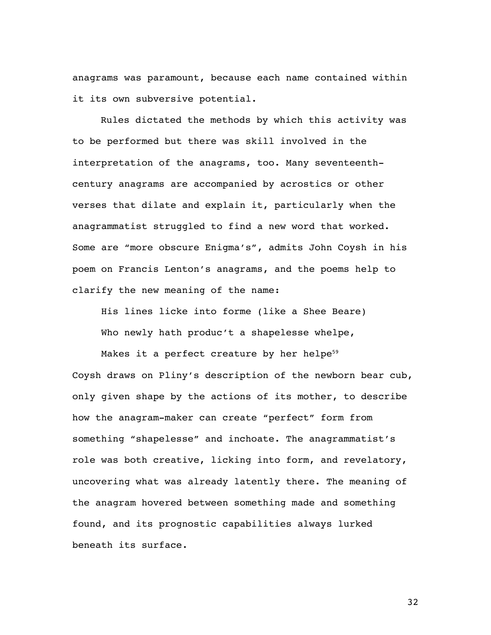anagrams was paramount, because each name contained within it its own subversive potential.

Rules dictated the methods by which this activity was to be performed but there was skill involved in the interpretation of the anagrams, too. Many seventeenthcentury anagrams are accompanied by acrostics or other verses that dilate and explain it, particularly when the anagrammatist struggled to find a new word that worked. Some are "more obscure Enigma's", admits John Coysh in his poem on Francis Lenton's anagrams, and the poems help to clarify the new meaning of the name:

His lines licke into forme (like a Shee Beare) Who newly hath produc't a shapelesse whelpe,

Makes it a perfect creature by her helpe $59$ Coysh draws on Pliny's description of the newborn bear cub, only given shape by the actions of its mother, to describe how the anagram-maker can create "perfect" form from something "shapelesse" and inchoate. The anagrammatist's role was both creative, licking into form, and revelatory, uncovering what was already latently there. The meaning of the anagram hovered between something made and something found, and its prognostic capabilities always lurked beneath its surface.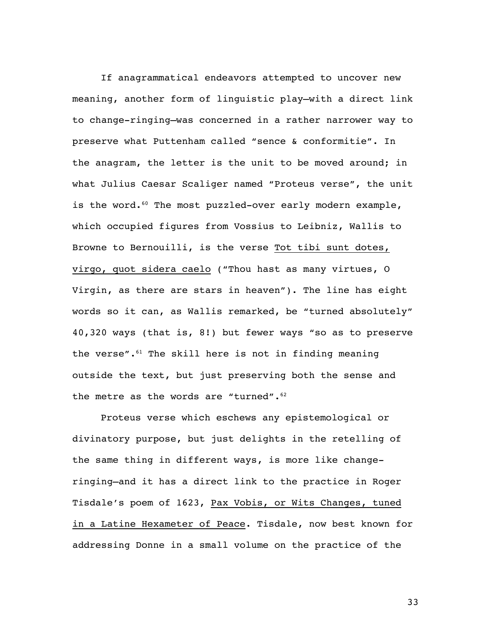If anagrammatical endeavors attempted to uncover new meaning, another form of linguistic play—with a direct link to change-ringing—was concerned in a rather narrower way to preserve what Puttenham called "sence & conformitie". In the anagram, the letter is the unit to be moved around; in what Julius Caesar Scaliger named "Proteus verse", the unit is the word.<sup>60</sup> The most puzzled-over early modern example, which occupied figures from Vossius to Leibniz, Wallis to Browne to Bernouilli, is the verse Tot tibi sunt dotes, virgo, quot sidera caelo ("Thou hast as many virtues, O Virgin, as there are stars in heaven"). The line has eight words so it can, as Wallis remarked, be "turned absolutely" 40,320 ways (that is, 8!) but fewer ways "so as to preserve the verse". $61$  The skill here is not in finding meaning outside the text, but just preserving both the sense and the metre as the words are "turned".<sup>62</sup>

Proteus verse which eschews any epistemological or divinatory purpose, but just delights in the retelling of the same thing in different ways, is more like changeringing—and it has a direct link to the practice in Roger Tisdale's poem of 1623, Pax Vobis, or Wits Changes, tuned in a Latine Hexameter of Peace. Tisdale, now best known for addressing Donne in a small volume on the practice of the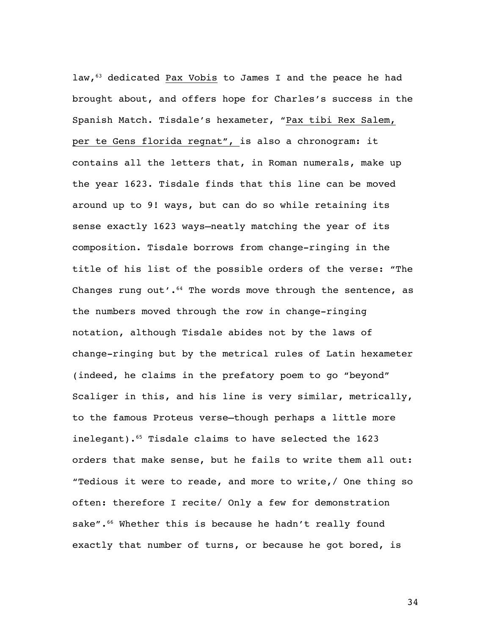law,<sup>63</sup> dedicated Pax Vobis to James I and the peace he had brought about, and offers hope for Charles's success in the Spanish Match. Tisdale's hexameter, "Pax tibi Rex Salem, per te Gens florida regnat", is also a chronogram: it contains all the letters that, in Roman numerals, make up the year 1623. Tisdale finds that this line can be moved around up to 9! ways, but can do so while retaining its sense exactly 1623 ways—neatly matching the year of its composition. Tisdale borrows from change-ringing in the title of his list of the possible orders of the verse: "The Changes rung out'. $^{64}$  The words move through the sentence, as the numbers moved through the row in change-ringing notation, although Tisdale abides not by the laws of change-ringing but by the metrical rules of Latin hexameter (indeed, he claims in the prefatory poem to go "beyond" Scaliger in this, and his line is very similar, metrically, to the famous Proteus verse—though perhaps a little more inelegant). $65$  Tisdale claims to have selected the 1623 orders that make sense, but he fails to write them all out: "Tedious it were to reade, and more to write,/ One thing so often: therefore I recite/ Only a few for demonstration sake".<sup>66</sup> Whether this is because he hadn't really found exactly that number of turns, or because he got bored, is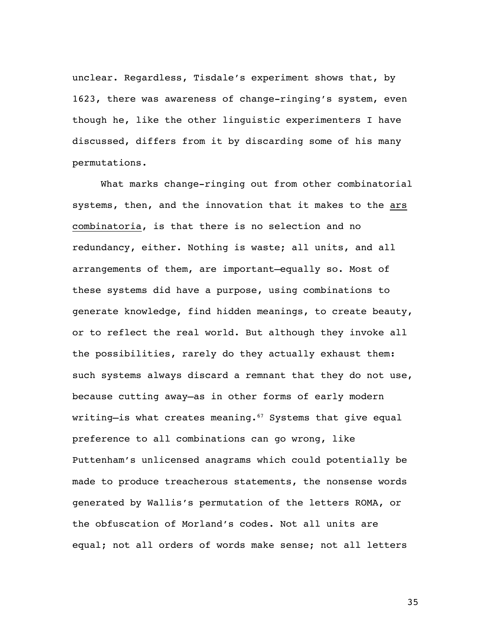unclear. Regardless, Tisdale's experiment shows that, by 1623, there was awareness of change-ringing's system, even though he, like the other linguistic experimenters I have discussed, differs from it by discarding some of his many permutations.

What marks change-ringing out from other combinatorial systems, then, and the innovation that it makes to the ars combinatoria, is that there is no selection and no redundancy, either. Nothing is waste; all units, and all arrangements of them, are important—equally so. Most of these systems did have a purpose, using combinations to generate knowledge, find hidden meanings, to create beauty, or to reflect the real world. But although they invoke all the possibilities, rarely do they actually exhaust them: such systems always discard a remnant that they do not use, because cutting away—as in other forms of early modern writing-is what creates meaning.<sup>67</sup> Systems that give equal preference to all combinations can go wrong, like Puttenham's unlicensed anagrams which could potentially be made to produce treacherous statements, the nonsense words generated by Wallis's permutation of the letters ROMA, or the obfuscation of Morland's codes. Not all units are equal; not all orders of words make sense; not all letters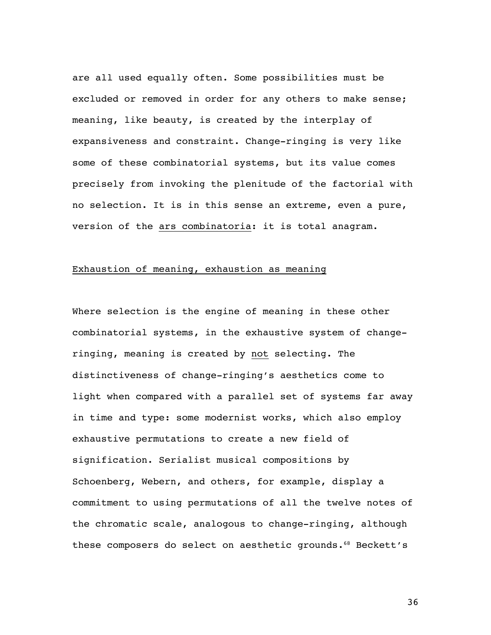are all used equally often. Some possibilities must be excluded or removed in order for any others to make sense; meaning, like beauty, is created by the interplay of expansiveness and constraint. Change-ringing is very like some of these combinatorial systems, but its value comes precisely from invoking the plenitude of the factorial with no selection. It is in this sense an extreme, even a pure, version of the ars combinatoria: it is total anagram.

# Exhaustion of meaning, exhaustion as meaning

Where selection is the engine of meaning in these other combinatorial systems, in the exhaustive system of changeringing, meaning is created by not selecting. The distinctiveness of change-ringing's aesthetics come to light when compared with a parallel set of systems far away in time and type: some modernist works, which also employ exhaustive permutations to create a new field of signification. Serialist musical compositions by Schoenberg, Webern, and others, for example, display a commitment to using permutations of all the twelve notes of the chromatic scale, analogous to change-ringing, although these composers do select on aesthetic grounds.<sup>68</sup> Beckett's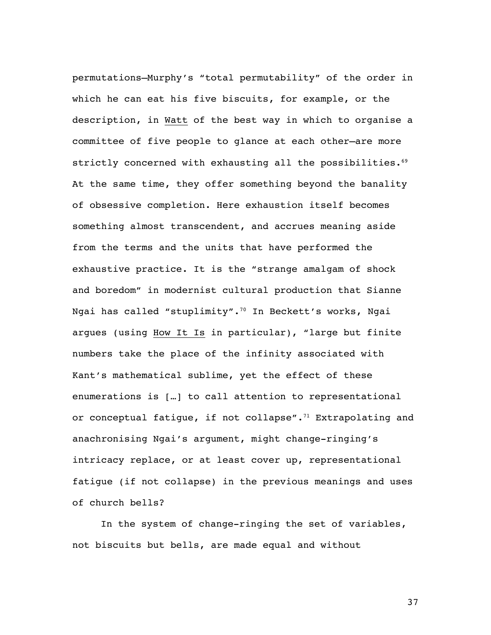permutations—Murphy's "total permutability" of the order in which he can eat his five biscuits, for example, or the description, in Watt of the best way in which to organise a committee of five people to glance at each other—are more strictly concerned with exhausting all the possibilities.<sup>69</sup> At the same time, they offer something beyond the banality of obsessive completion. Here exhaustion itself becomes something almost transcendent, and accrues meaning aside from the terms and the units that have performed the exhaustive practice. It is the "strange amalgam of shock and boredom" in modernist cultural production that Sianne Ngai has called "stuplimity".70 In Beckett's works, Ngai argues (using How It Is in particular), "large but finite numbers take the place of the infinity associated with Kant's mathematical sublime, yet the effect of these enumerations is […] to call attention to representational or conceptual fatigue, if not collapse". $71$  Extrapolating and anachronising Ngai's argument, might change-ringing's intricacy replace, or at least cover up, representational fatigue (if not collapse) in the previous meanings and uses of church bells?

In the system of change-ringing the set of variables, not biscuits but bells, are made equal and without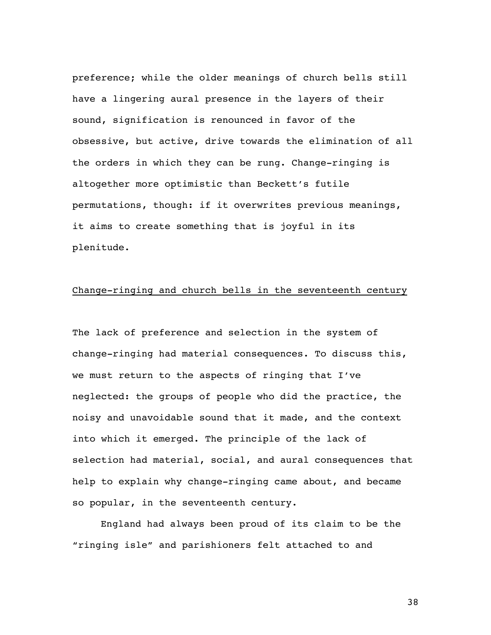preference; while the older meanings of church bells still have a lingering aural presence in the layers of their sound, signification is renounced in favor of the obsessive, but active, drive towards the elimination of all the orders in which they can be rung. Change-ringing is altogether more optimistic than Beckett's futile permutations, though: if it overwrites previous meanings, it aims to create something that is joyful in its plenitude.

#### Change-ringing and church bells in the seventeenth century

The lack of preference and selection in the system of change-ringing had material consequences. To discuss this, we must return to the aspects of ringing that I've neglected: the groups of people who did the practice, the noisy and unavoidable sound that it made, and the context into which it emerged. The principle of the lack of selection had material, social, and aural consequences that help to explain why change-ringing came about, and became so popular, in the seventeenth century.

England had always been proud of its claim to be the "ringing isle" and parishioners felt attached to and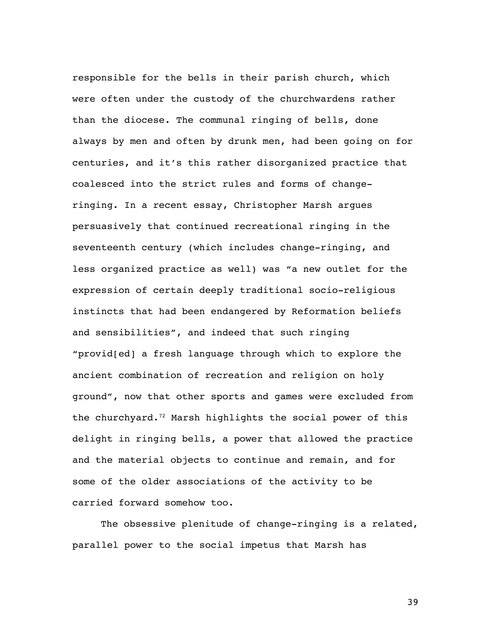responsible for the bells in their parish church, which were often under the custody of the churchwardens rather than the diocese. The communal ringing of bells, done always by men and often by drunk men, had been going on for centuries, and it's this rather disorganized practice that coalesced into the strict rules and forms of changeringing. In a recent essay, Christopher Marsh argues persuasively that continued recreational ringing in the seventeenth century (which includes change-ringing, and less organized practice as well) was "a new outlet for the expression of certain deeply traditional socio-religious instincts that had been endangered by Reformation beliefs and sensibilities", and indeed that such ringing "provid[ed] a fresh language through which to explore the ancient combination of recreation and religion on holy ground", now that other sports and games were excluded from the churchyard. $72$  Marsh highlights the social power of this delight in ringing bells, a power that allowed the practice and the material objects to continue and remain, and for some of the older associations of the activity to be carried forward somehow too.

The obsessive plenitude of change-ringing is a related, parallel power to the social impetus that Marsh has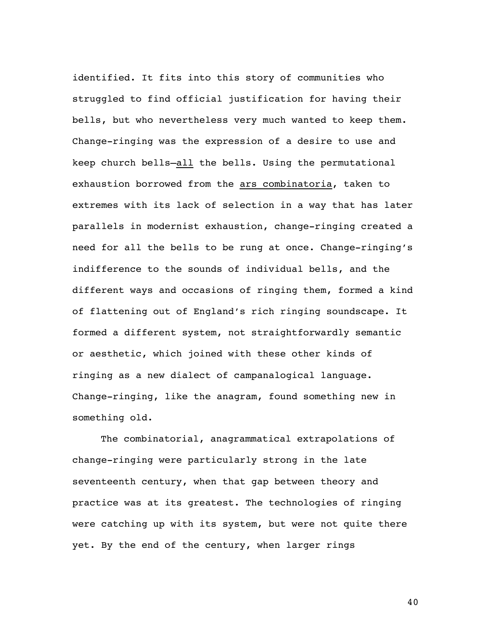identified. It fits into this story of communities who struggled to find official justification for having their bells, but who nevertheless very much wanted to keep them. Change-ringing was the expression of a desire to use and keep church bells—all the bells. Using the permutational exhaustion borrowed from the ars combinatoria, taken to extremes with its lack of selection in a way that has later parallels in modernist exhaustion, change-ringing created a need for all the bells to be rung at once. Change-ringing's indifference to the sounds of individual bells, and the different ways and occasions of ringing them, formed a kind of flattening out of England's rich ringing soundscape. It formed a different system, not straightforwardly semantic or aesthetic, which joined with these other kinds of ringing as a new dialect of campanalogical language. Change-ringing, like the anagram, found something new in something old.

The combinatorial, anagrammatical extrapolations of change-ringing were particularly strong in the late seventeenth century, when that gap between theory and practice was at its greatest. The technologies of ringing were catching up with its system, but were not quite there yet. By the end of the century, when larger rings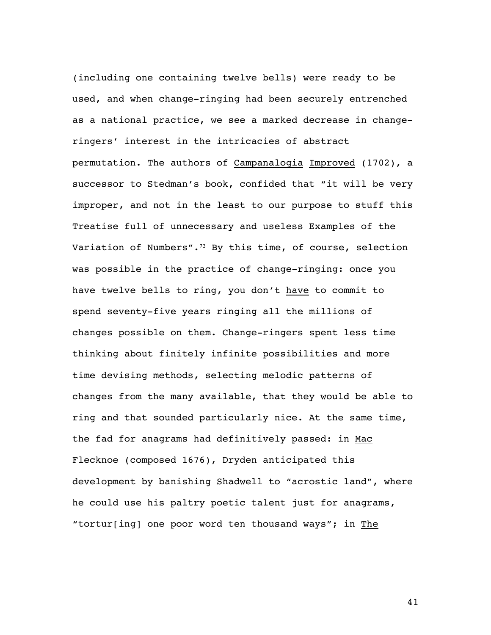(including one containing twelve bells) were ready to be used, and when change-ringing had been securely entrenched as a national practice, we see a marked decrease in changeringers' interest in the intricacies of abstract permutation. The authors of Campanalogia Improved (1702), a successor to Stedman's book, confided that "it will be very improper, and not in the least to our purpose to stuff this Treatise full of unnecessary and useless Examples of the Variation of Numbers".<sup>73</sup> By this time, of course, selection was possible in the practice of change-ringing: once you have twelve bells to ring, you don't have to commit to spend seventy-five years ringing all the millions of changes possible on them. Change-ringers spent less time thinking about finitely infinite possibilities and more time devising methods, selecting melodic patterns of changes from the many available, that they would be able to ring and that sounded particularly nice. At the same time, the fad for anagrams had definitively passed: in Mac Flecknoe (composed 1676), Dryden anticipated this development by banishing Shadwell to "acrostic land", where he could use his paltry poetic talent just for anagrams, "tortur[ing] one poor word ten thousand ways"; in The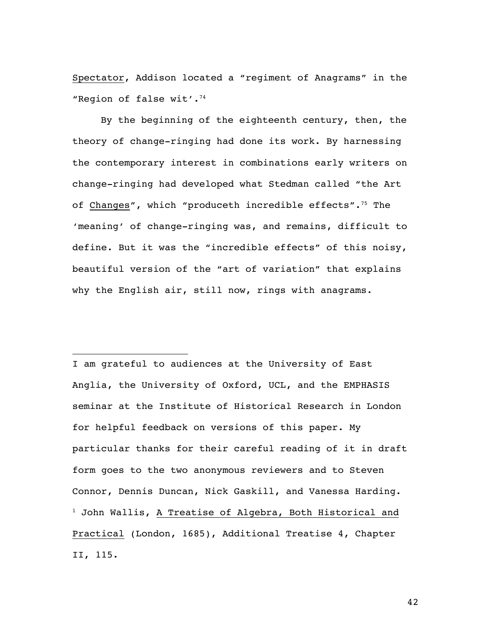Spectator, Addison located a "regiment of Anagrams" in the "Region of false wit'.74

By the beginning of the eighteenth century, then, the theory of change-ringing had done its work. By harnessing the contemporary interest in combinations early writers on change-ringing had developed what Stedman called "the Art of Changes", which "produceth incredible effects".<sup>75</sup> The 'meaning' of change-ringing was, and remains, difficult to define. But it was the "incredible effects" of this noisy, beautiful version of the "art of variation" that explains why the English air, still now, rings with anagrams.

I am grateful to audiences at the University of East Anglia, the University of Oxford, UCL, and the EMPHASIS seminar at the Institute of Historical Research in London for helpful feedback on versions of this paper. My particular thanks for their careful reading of it in draft form goes to the two anonymous reviewers and to Steven Connor, Dennis Duncan, Nick Gaskill, and Vanessa Harding. <sup>1</sup> John Wallis, A Treatise of Algebra, Both Historical and Practical (London, 1685), Additional Treatise 4, Chapter II, 115.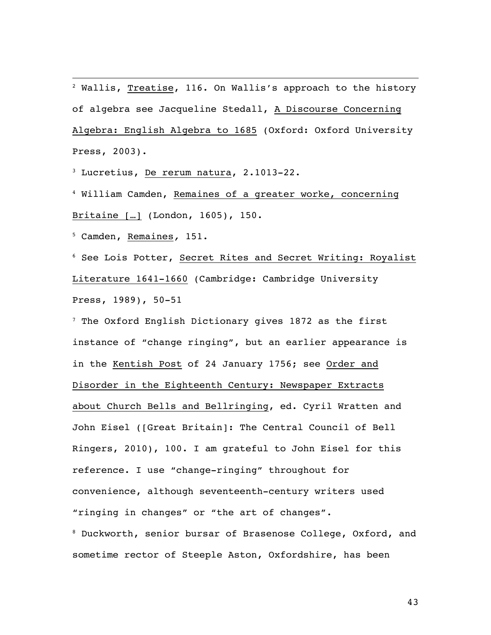<sup>2</sup> Wallis, Treatise, 116. On Wallis's approach to the history of algebra see Jacqueline Stedall, A Discourse Concerning Algebra: English Algebra to 1685 (Oxford: Oxford University Press, 2003).

<sup>3</sup> Lucretius, De rerum natura, 2.1013-22.

<sup>4</sup> William Camden, Remaines of a greater worke, concerning Britaine […] (London, 1605), 150.

<sup>5</sup> Camden, Remaines*,* 151.

<sup>6</sup> See Lois Potter, Secret Rites and Secret Writing: Royalist Literature 1641-1660 (Cambridge: Cambridge University Press, 1989), 50-51

<sup>7</sup> The Oxford English Dictionary gives 1872 as the first instance of "change ringing", but an earlier appearance is in the Kentish Post of 24 January 1756; see Order and Disorder in the Eighteenth Century: Newspaper Extracts about Church Bells and Bellringing, ed. Cyril Wratten and John Eisel ([Great Britain]: The Central Council of Bell Ringers, 2010), 100. I am grateful to John Eisel for this reference. I use "change-ringing" throughout for convenience, although seventeenth-century writers used "ringing in changes" or "the art of changes".

<sup>8</sup> Duckworth, senior bursar of Brasenose College, Oxford, and sometime rector of Steeple Aston, Oxfordshire, has been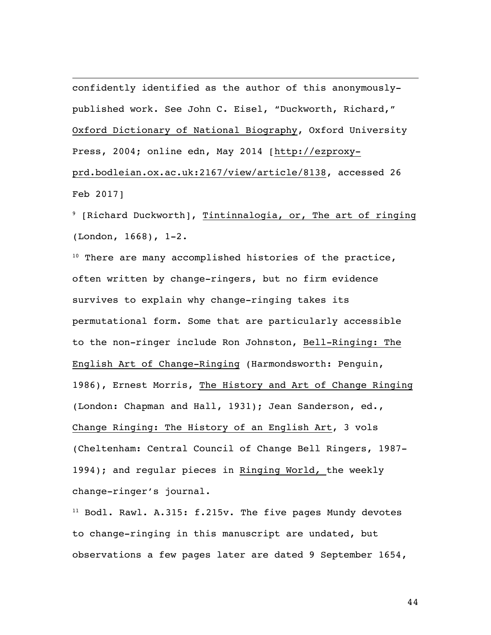confidently identified as the author of this anonymouslypublished work. See John C. Eisel, "Duckworth, Richard," Oxford Dictionary of National Biography, Oxford University Press, 2004; online edn, May 2014 [http://ezproxyprd.bodleian.ox.ac.uk:2167/view/article/8138, accessed 26 Feb 2017]

<sup>9</sup> [Richard Duckworth], Tintinnalogia, or, The art of ringing (London, 1668), 1-2.

 $10$  There are many accomplished histories of the practice, often written by change-ringers, but no firm evidence survives to explain why change-ringing takes its permutational form. Some that are particularly accessible to the non-ringer include Ron Johnston, Bell-Ringing: The English Art of Change-Ringing (Harmondsworth: Penguin, 1986), Ernest Morris, The History and Art of Change Ringing (London: Chapman and Hall, 1931); Jean Sanderson, ed., Change Ringing: The History of an English Art, 3 vols (Cheltenham: Central Council of Change Bell Ringers, 1987- 1994); and regular pieces in Ringing World*,* the weekly change-ringer's journal.

<sup>11</sup> Bodl. Rawl. A.315: f.215v. The five pages Mundy devotes to change-ringing in this manuscript are undated, but observations a few pages later are dated 9 September 1654,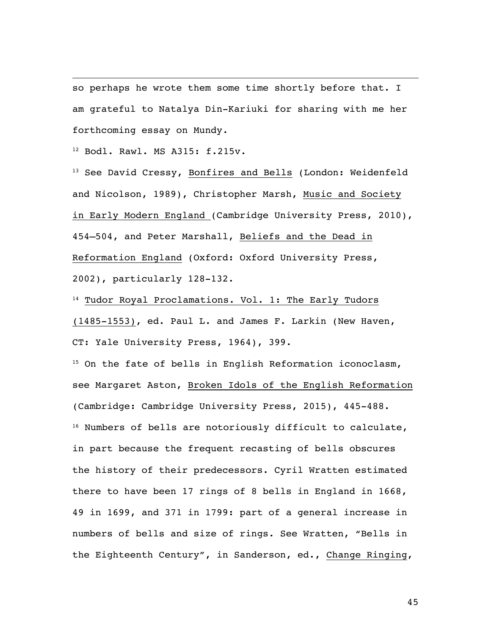so perhaps he wrote them some time shortly before that. I am grateful to Natalya Din-Kariuki for sharing with me her forthcoming essay on Mundy.

<sup>12</sup> Bodl. Rawl. MS A315: f.215v.

<sup>13</sup> See David Cressy, Bonfires and Bells (London: Weidenfeld and Nicolson, 1989), Christopher Marsh, Music and Society in Early Modern England (Cambridge University Press, 2010), 454–504, and Peter Marshall, Beliefs and the Dead in Reformation England (Oxford: Oxford University Press, 2002), particularly 128-132.

14 Tudor Royal Proclamations. Vol. 1: The Early Tudors (1485-1553), ed. Paul L. and James F. Larkin (New Haven, CT: Yale University Press, 1964), 399.

<sup>15</sup> On the fate of bells in English Reformation iconoclasm, see Margaret Aston, Broken Idols of the English Reformation (Cambridge: Cambridge University Press, 2015), 445-488. <sup>16</sup> Numbers of bells are notoriously difficult to calculate, in part because the frequent recasting of bells obscures the history of their predecessors. Cyril Wratten estimated there to have been 17 rings of 8 bells in England in 1668, 49 in 1699, and 371 in 1799: part of a general increase in numbers of bells and size of rings. See Wratten, "Bells in the Eighteenth Century", in Sanderson, ed., Change Ringing,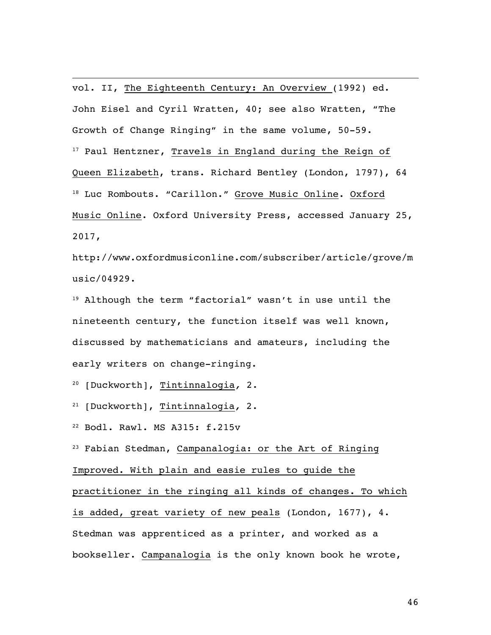vol. II, The Eighteenth Century: An Overview (1992) ed. John Eisel and Cyril Wratten, 40; see also Wratten, "The Growth of Change Ringing" in the same volume, 50-59. <sup>17</sup> Paul Hentzner, Travels in England during the Reign of Queen Elizabeth, trans. Richard Bentley (London, 1797), 64 <sup>18</sup> Luc Rombouts. "Carillon." Grove Music Online. Oxford Music Online. Oxford University Press, accessed January 25, 2017,

http://www.oxfordmusiconline.com/subscriber/article/grove/m usic/04929.

<sup>19</sup> Although the term "factorial" wasn't in use until the nineteenth century, the function itself was well known, discussed by mathematicians and amateurs, including the early writers on change-ringing.

<sup>20</sup> [Duckworth], Tintinnalogia*,* 2.

<sup>21</sup> [Duckworth], Tintinnalogia*,* 2.

<sup>22</sup> Bodl. Rawl. MS A315: f.215v

<sup>23</sup> Fabian Stedman, Campanalogia: or the Art of Ringing

Improved. With plain and easie rules to guide the

practitioner in the ringing all kinds of changes. To which is added, great variety of new peals (London, 1677), 4. Stedman was apprenticed as a printer, and worked as a bookseller. Campanalogia is the only known book he wrote,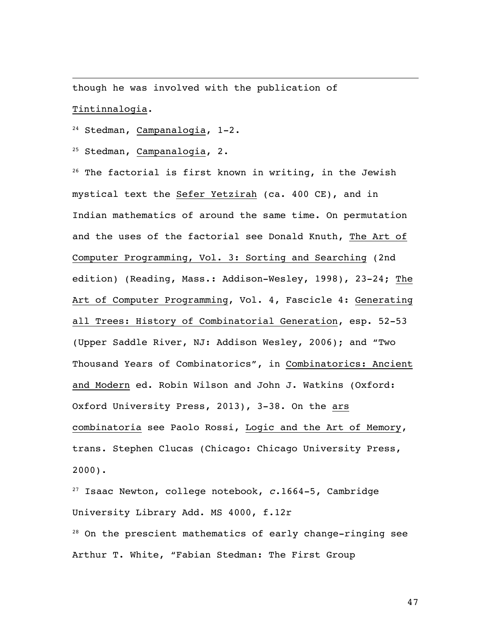though he was involved with the publication of Tintinnalogia.

<sup>24</sup> Stedman, Campanalogia, 1-2.

<sup>25</sup> Stedman, Campanalogia, 2.

 $26$  The factorial is first known in writing, in the Jewish mystical text the Sefer Yetzirah (ca. 400 CE), and in Indian mathematics of around the same time. On permutation and the uses of the factorial see Donald Knuth, The Art of Computer Programming, Vol. 3: Sorting and Searching (2nd edition) (Reading, Mass.: Addison-Wesley, 1998), 23-24; The Art of Computer Programming, Vol. 4, Fascicle 4: Generating all Trees: History of Combinatorial Generation, esp. 52-53 (Upper Saddle River, NJ: Addison Wesley, 2006); and "Two Thousand Years of Combinatorics", in Combinatorics: Ancient and Modern ed. Robin Wilson and John J. Watkins (Oxford: Oxford University Press, 2013), 3-38. On the ars combinatoria see Paolo Rossi, Logic and the Art of Memory, trans. Stephen Clucas (Chicago: Chicago University Press, 2000).

<sup>27</sup> Isaac Newton, college notebook, *c*.1664-5, Cambridge University Library Add. MS 4000, f.12r <sup>28</sup> On the prescient mathematics of early change-ringing see Arthur T. White, "Fabian Stedman: The First Group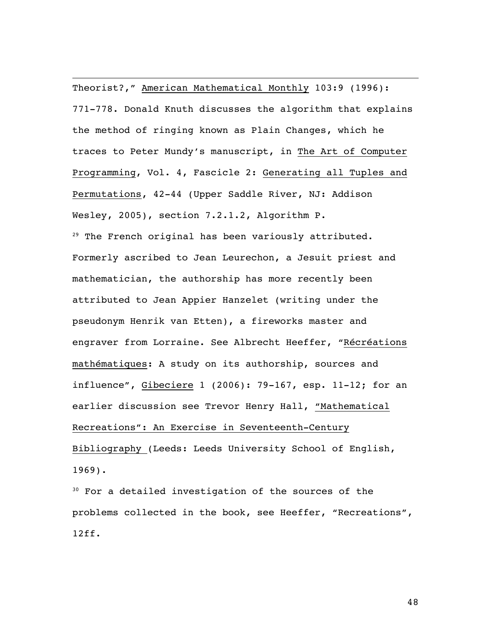Theorist?," American Mathematical Monthly 103:9 (1996): 771-778. Donald Knuth discusses the algorithm that explains the method of ringing known as Plain Changes, which he traces to Peter Mundy's manuscript, in The Art of Computer Programming, Vol. 4, Fascicle 2: Generating all Tuples and Permutations, 42-44 (Upper Saddle River, NJ: Addison Wesley, 2005), section 7.2.1.2, Algorithm P.

<sup>29</sup> The French original has been variously attributed. Formerly ascribed to Jean Leurechon, a Jesuit priest and mathematician, the authorship has more recently been attributed to Jean Appier Hanzelet (writing under the pseudonym Henrik van Etten), a fireworks master and engraver from Lorraine. See Albrecht Heeffer, "Récréations mathématiques: A study on its authorship, sources and influence", Gibeciere 1 (2006): 79-167, esp. 11-12; for an earlier discussion see Trevor Henry Hall, "Mathematical Recreations": An Exercise in Seventeenth-Century Bibliography (Leeds: Leeds University School of English, 1969).

<sup>30</sup> For a detailed investigation of the sources of the problems collected in the book, see Heeffer, "Recreations", 12ff.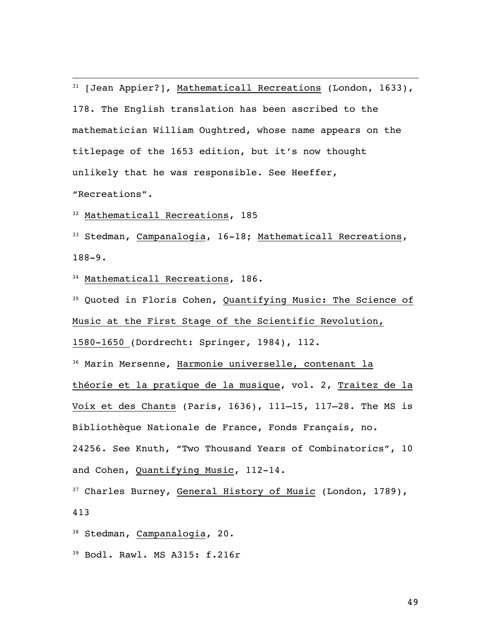<sup>31</sup> [Jean Appier?], Mathematicall Recreations (London, 1633), 178. The English translation has been ascribed to the mathematician William Oughtred, whose name appears on the titlepage of the 1653 edition, but it's now thought unlikely that he was responsible. See Heeffer, "Recreations".

<sup>32</sup> Mathematicall Recreations, 185

<sup>33</sup> Stedman, Campanalogia, 16-18; Mathematicall Recreations, 188-9.

<sup>34</sup> Mathematicall Recreations, 186.

<sup>35</sup> Quoted in Floris Cohen, Quantifying Music: The Science of Music at the First Stage of the Scientific Revolution,

1580-1650 (Dordrecht: Springer, 1984), 112.

<sup>36</sup> Marin Mersenne, Harmonie universelle, contenant la théorie et la pratique de la musique, vol. 2, Traitez de la Voix et des Chants (Paris, 1636), 111–15, 117–28. The MS is Bibliothèque Nationale de France, Fonds Français, no. 24256. See Knuth, "Two Thousand Years of Combinatorics", 10 and Cohen, Quantifying Music, 112-14.

<sup>37</sup> Charles Burney, General History of Music (London, 1789), 413

<sup>38</sup> Stedman, Campanalogia, 20.

<sup>39</sup> Bodl. Rawl. MS A315: f.216r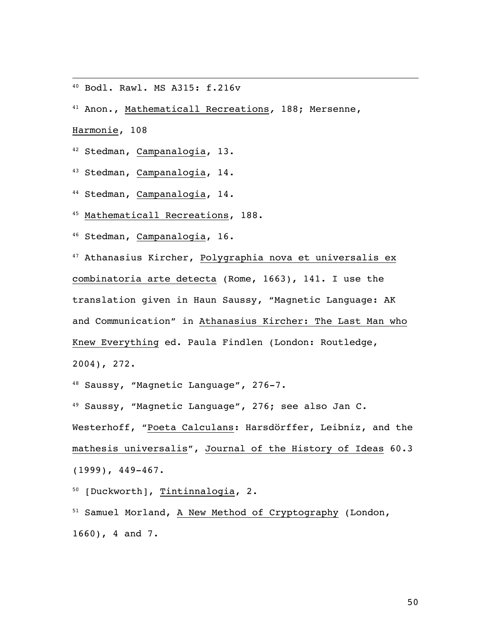<sup>40</sup> Bodl. Rawl. MS A315: f.216v

<sup>41</sup> Anon., Mathematicall Recreations*,* 188; Mersenne,

Harmonie, 108

<sup>42</sup> Stedman, Campanalogia, 13.

43 Stedman, Campanalogia, 14.

<sup>44</sup> Stedman, Campanalogia, 14.

<sup>45</sup> Mathematicall Recreations, 188.

<sup>46</sup> Stedman, Campanalogia, 16.

<sup>47</sup> Athanasius Kircher, Polygraphia nova et universalis ex combinatoria arte detecta (Rome, 1663), 141. I use the translation given in Haun Saussy, "Magnetic Language: AK and Communication" in Athanasius Kircher: The Last Man who Knew Everything ed. Paula Findlen (London: Routledge, 2004), 272.

<sup>48</sup> Saussy, "Magnetic Language", 276-7.

<sup>49</sup> Saussy, "Magnetic Language", 276; see also Jan C. Westerhoff, "Poeta Calculans: Harsdörffer, Leibniz, and the mathesis universalis", Journal of the History of Ideas 60.3 (1999), 449-467.

<sup>50</sup> [Duckworth], Tintinnalogia, 2.

<sup>51</sup> Samuel Morland, A New Method of Cryptography (London, 1660), 4 and 7.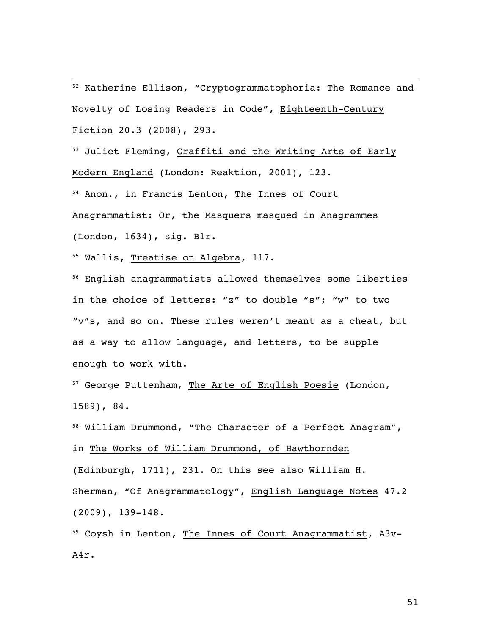<sup>52</sup> Katherine Ellison, "Cryptogrammatophoria: The Romance and Novelty of Losing Readers in Code", Eighteenth-Century Fiction 20.3 (2008), 293.

<sup>53</sup> Juliet Fleming, Graffiti and the Writing Arts of Early Modern England (London: Reaktion, 2001), 123.

<sup>54</sup> Anon., in Francis Lenton, The Innes of Court

Anagrammatist: Or, the Masquers masqued in Anagrammes

(London, 1634), sig. B1r.

<sup>55</sup> Wallis, Treatise on Algebra, 117.

<sup>56</sup> English anagrammatists allowed themselves some liberties in the choice of letters: "z" to double "s"; "w" to two "v"s, and so on. These rules weren't meant as a cheat, but as a way to allow language, and letters, to be supple enough to work with.

<sup>57</sup> George Puttenham, The Arte of English Poesie (London, 1589), 84.

<sup>58</sup> William Drummond, "The Character of a Perfect Anagram", in The Works of William Drummond, of Hawthornden (Edinburgh, 1711), 231. On this see also William H. Sherman, "Of Anagrammatology", English Language Notes 47.2 (2009), 139-148.

<sup>59</sup> Coysh in Lenton, The Innes of Court Anagrammatist, A3v-A4r.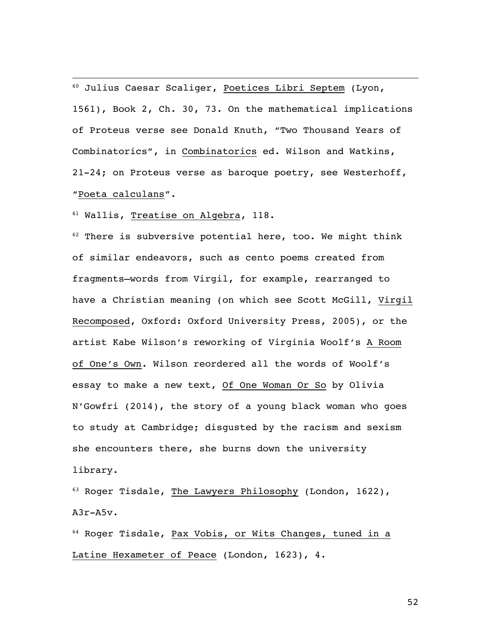<sup>60</sup> Julius Caesar Scaliger, Poetices Libri Septem (Lyon, 1561), Book 2, Ch. 30, 73. On the mathematical implications of Proteus verse see Donald Knuth, "Two Thousand Years of Combinatorics", in Combinatorics ed. Wilson and Watkins, 21-24; on Proteus verse as baroque poetry, see Westerhoff, "Poeta calculans".

<sup>61</sup> Wallis, Treatise on Algebra, 118.

 $62$  There is subversive potential here, too. We might think of similar endeavors, such as cento poems created from fragments—words from Virgil, for example, rearranged to have a Christian meaning (on which see Scott McGill, Virgil Recomposed, Oxford: Oxford University Press, 2005), or the artist Kabe Wilson's reworking of Virginia Woolf's A Room of One's Own. Wilson reordered all the words of Woolf's essay to make a new text, Of One Woman Or So by Olivia N'Gowfri (2014), the story of a young black woman who goes to study at Cambridge; disgusted by the racism and sexism she encounters there, she burns down the university library.

<sup>63</sup> Roger Tisdale, The Lawyers Philosophy (London, 1622), A3r-A5v.

<sup>64</sup> Roger Tisdale, Pax Vobis, or Wits Changes, tuned in a Latine Hexameter of Peace (London, 1623), 4.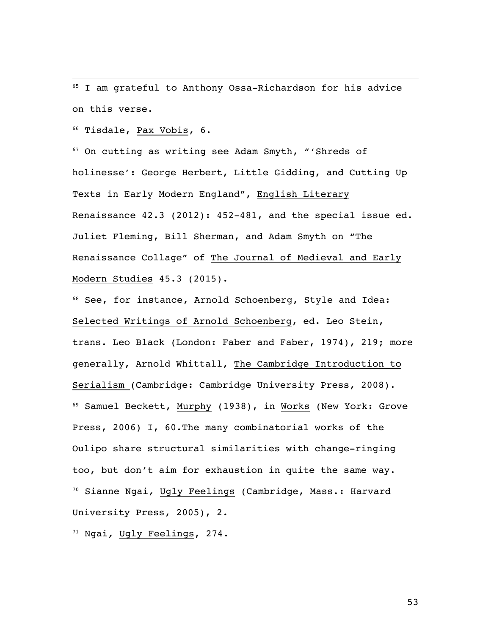<sup>65</sup> I am grateful to Anthony Ossa-Richardson for his advice on this verse.

<sup>66</sup> Tisdale, Pax Vobis, 6.

<sup>67</sup> On cutting as writing see Adam Smyth, "'Shreds of holinesse': George Herbert, Little Gidding, and Cutting Up Texts in Early Modern England", English Literary Renaissance 42.3 (2012): 452-481, and the special issue ed. Juliet Fleming, Bill Sherman, and Adam Smyth on "The Renaissance Collage" of The Journal of Medieval and Early Modern Studies 45.3 (2015).

68 See, for instance, Arnold Schoenberg, Style and Idea: Selected Writings of Arnold Schoenberg, ed. Leo Stein, trans. Leo Black (London: Faber and Faber, 1974), 219; more generally, Arnold Whittall, The Cambridge Introduction to Serialism (Cambridge: Cambridge University Press, 2008). <sup>69</sup> Samuel Beckett, Murphy (1938), in Works (New York: Grove Press, 2006) I, 60.The many combinatorial works of the Oulipo share structural similarities with change-ringing too, but don't aim for exhaustion in quite the same way. <sup>70</sup> Sianne Ngai*,* Ugly Feelings (Cambridge, Mass.: Harvard University Press, 2005), 2.

<sup>71</sup> Ngai*,* Ugly Feelings, 274.